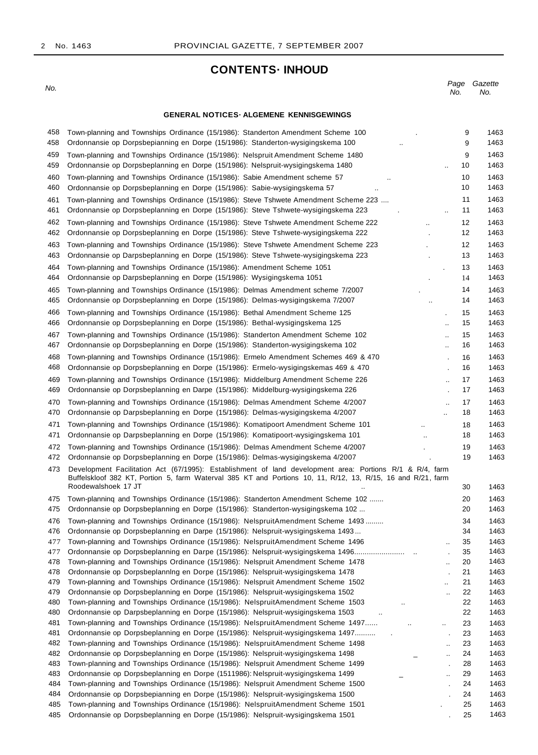# **CONTENTS· INHOUD**

No.

Page Gazette No. No.

#### **GENERAL NOTICES· ALGEMENE KENNISGEWINGS**

| 458<br>458 | Town-planning and Townships Ordinance (15/1986): Standerton Amendment Scheme 100<br>Ordonnansie op Dorpsbepianning en Dorpe (15/1986): Standerton-wysigingskema 100                                                     |                      | 9<br>9   | 1463<br>1463 |
|------------|-------------------------------------------------------------------------------------------------------------------------------------------------------------------------------------------------------------------------|----------------------|----------|--------------|
| 459        | Town-planning and Townships Ordinance (15/1986): Nelspruit Amendment Scheme 1480                                                                                                                                        |                      | 9        | 1463         |
| 459        | Ordonnansie op Dorpsbeplanning en Dorpe (15/1986): Nelspruit-wysigingskema 1480                                                                                                                                         | $\ddotsc$            | 10       | 1463         |
| 460        | Town-planning and Townships Ordinance (15/1986): Sabie Amendment scheme 57                                                                                                                                              |                      | 10       | 1463         |
| 460        | Ordonnansie op Dorpsbeplanning en Dorpe (15/1986): Sabie-wysigingskema 57                                                                                                                                               |                      | 10       | 1463         |
| 461        | Town-planning and Townships Ordinance (15/1986): Steve Tshwete Amendment Scheme 223                                                                                                                                     |                      | 11       | 1463         |
| 461        | Ordonnansie op Dorpsbeplanning en Dorpe (15/1986): Steve Tshwete-wysigingskema 223                                                                                                                                      | $\ddot{\phantom{a}}$ | 11       | 1463         |
| 462        | Town-planning and Townships Ordinance (15/1986): Steve Tshwete Amendment Scheme 222                                                                                                                                     | $\ddotsc$            | 12       | 1463         |
| 462        | Ordonnansie op Dorpsbeplanning en Dorpe (15/1986): Steve Tshwete-wysigingskema 222                                                                                                                                      |                      | 12       | 1463         |
| 463        | Town-planning and Townships Ordinance (15/1986): Steve Tshwete Amendment Scheme 223                                                                                                                                     |                      | 12       | 1463         |
| 463        | Ordonnansie op Darpsbeplanning en Dorpe (15/1986): Steve Tshwete-wysigingskema 223                                                                                                                                      |                      | 13       | 1463         |
| 464        | Town-planning and Townships Ordinance (15/1986): Amendment Scheme 1051                                                                                                                                                  |                      | 13       | 1463         |
| 464        | Ordonnansie op Darpsbeplanning en Dorpe (15/1986): Wysigingskema 1051                                                                                                                                                   |                      | 14       | 1463         |
| 465        | Town-planning and Townships Ordinance (15/1986): Delmas Amendment scheme 7/2007                                                                                                                                         |                      | 14       | 1463         |
| 465        | Ordonnansie op Dorpsbeplanning en Dorpe (15/1986): Delmas-wysigingskema 7/2007                                                                                                                                          | $\ddot{\phantom{a}}$ | 14       | 1463         |
| 466        |                                                                                                                                                                                                                         |                      |          | 1463         |
| 466        | Town-planning and Townships Ordinance (15/1986): Bethal Amendment Scheme 125<br>Ordonnansie op Dorpsbeplanning en Dorpe (15/1986): Bethal-wysigingskema 125                                                             |                      | 15<br>15 | 1463         |
|            |                                                                                                                                                                                                                         | $\ddotsc$            |          |              |
| 467        | Town-planning and Townships Ordinance (15/1986): Standerton Amendment Scheme 102                                                                                                                                        | $\ddot{\phantom{a}}$ | 15       | 1463         |
| 467        | Ordonnansie op Dorpsbeplanning en Dorpe (15/1986): Standerton-wysigingskema 102                                                                                                                                         | $\ddotsc$            | 16       | 1463         |
| 468        | Town-planning and Townships Ordinance (15/1986): Ermelo Amendment Schemes 469 & 470                                                                                                                                     |                      | 16       | 1463         |
| 468        | Ordonnansie op Dorpsbeplanning en Dorpe (15/1986): Ermelo-wysigingskemas 469 & 470                                                                                                                                      |                      | 16       | 1463         |
| 469        | Town-planning and Townships Ordinance (15/1986): Middelburg Amendment Scheme 226                                                                                                                                        | $\ddot{\phantom{a}}$ | 17       | 1463         |
| 469        | Ordonnansie op Dorpsbeplanning en Darpe (15/1986): Middelburg-wysigingskema 226                                                                                                                                         |                      | 17       | 1463         |
| 470        | Town-planning and Townships Ordinance (15/1986): Delmas Amendment Scheme 4/2007                                                                                                                                         |                      | 17       | 1463         |
| 470        | Ordonnansie op Darpsbeplanning en Dorpe (15/1986): Delmas-wysigingskema 4/2007                                                                                                                                          | ă.                   | 18       | 1463         |
| 471        | Town-planning and Townships Ordinance (15/1986): Komatipoort Amendment Scheme 101                                                                                                                                       | $\ddotsc$            | 18       | 1463         |
| 471        | Ordonnansie op Darpsbeplanning en Dorpe (15/1986): Komatipoort-wysigingskema 101                                                                                                                                        |                      | 18       | 1463         |
| 472        | Town-planning and Townships Ordinance (15/1986): Delmas Amendment Scheme 4/2007                                                                                                                                         |                      | 19       | 1463         |
| 472        | Ordonnansie op Dorpsbeplanning en Dorpe (15/1986): Delmas-wysigingskema 4/2007                                                                                                                                          |                      | 19       | 1463         |
| 473        | Development Facilitation Act (67/1995): Establishment of land development area: Portions R/1 & R/4, farm<br>Buffelskloof 382 KT, Portion 5, farm Waterval 385 KT and Portions 10, 11, R/12, 13, R/15, 16 and R/21, farm |                      |          |              |
|            | Roodewalshoek 17 JT                                                                                                                                                                                                     |                      | 30       | 1463         |
| 475        | Town-planning and Townships Ordinance (15/1986): Standerton Amendment Scheme 102                                                                                                                                        |                      | 20       | 1463         |
| 475        | Ordonnansie op Dorpsbeplanning en Dorpe (15/1986): Standerton-wysigingskema 102                                                                                                                                         |                      | 20       | 1463         |
| 476        | Town-planning and Townships Ordinance (15/1986): NelspruitAmendment Scheme 1493                                                                                                                                         |                      | 34       | 1463         |
| 476        | Ordonnansie op Dorpsbeplanning en Darpe (15/1986): Nelspruit-wysigingskema 1493                                                                                                                                         |                      | 34       | 1463         |
| 477        | Town-planning and Townships Ordinance (15/1986): NelspruitAmendment Scheme 1496                                                                                                                                         |                      | 35       | 1463         |
| 477        | Ordonnansie op Dorpsbeplanning en Darpe (15/1986): Nelspruit-wysigingskema 1496                                                                                                                                         |                      | 35       | 1463         |
| 478        | Town-planning and Townships Ordinance (15/1986): Nelspruit Amendment Scheme 1478                                                                                                                                        | $\ddotsc$            | 20       | 1463         |
| 478        | Ordonnansie op Dorpsbeplanning en Dorpe (15/1986): Nelspruit-wysigingskema 1478                                                                                                                                         |                      | 21       | 1463         |
| 479        | Town-planning and Townships Ordinance (15/1986): Nelspruit Amendment Scheme 1502                                                                                                                                        | $\ddot{\phantom{a}}$ | 21       | 1463         |
| 479        | Ordonnansie op Dorpsbeplanning en Dorpe (15/1986): Nelspruit-wysigingskema 1502<br>Town-planning and Townships Ordinance (15/1986): NelspruitAmendment Scheme 1503                                                      | $\ddot{\phantom{a}}$ | 22       | 1463         |
| 480<br>480 | $\ddotsc$<br>Ordonnansie op Darpsbeplanning en Dorpe (15/1986): Nelspruit-wysigingskema 1503                                                                                                                            |                      | 22<br>22 | 1463<br>1463 |
| 481        | Town-planning and Townships Ordinance (15/1986): NelspruitAmendment Scheme 1497<br>$\sim 100$                                                                                                                           |                      | 23       | 1463         |
| 481        | Ordonnansie op Dorpsbeplanning en Dorpe (15/1986): Nelspruit-wysigingskema 1497                                                                                                                                         | $\ldots$             | 23       | 1463         |
| 482        | Town-planning and Townships Ordinance (15/1986): NelspruitAmendment Scheme 1498                                                                                                                                         | $\cdot$ .            | 23       | 1463         |
| 482        | Ordonnansie op Dorpsbeplanning en Dorpe (15/1986): Nelspruit-wysigingskema 1498                                                                                                                                         | $\cdot$ .            | 24       | 1463         |
| 483        | Town-planning and Townships Ordinance (15/1986): Nelspruit Amendment Scheme 1499                                                                                                                                        |                      | 28       | 1463         |
| 483        | Ordonnansie op Dorpsbeplanning en Dorpe (1511986): Nelspruit-wysigingskema 1499                                                                                                                                         | $\ddot{\phantom{a}}$ | 29       | 1463         |
| 484        | Town-planning and Townships Ordinance (15/1986): Nelspruit Amendment Scheme 1500                                                                                                                                        |                      | 24       | 1463         |
| 484        | Ordonnansie op Dorpsbepianning en Dorpe (15/1986): Nelspruit-wysigingskema 1500                                                                                                                                         |                      | 24       | 1463         |
| 485        | Town-planning and Townships Ordinance (15/1986): NelspruitAmendment Scheme 1501                                                                                                                                         |                      | 25       | 1463         |
| 485        | Ordonnansie op Dorpsbeplanning en Dorpe (15/1986): Nelspruit-wysigingskema 1501                                                                                                                                         |                      | 25       | 1463         |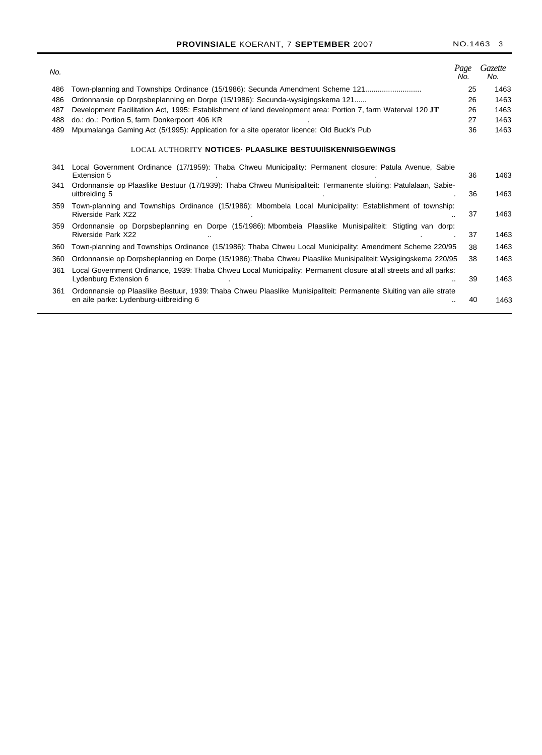| No. |                                                                                                                                                             | Page<br>No. | Gazette<br>No. |
|-----|-------------------------------------------------------------------------------------------------------------------------------------------------------------|-------------|----------------|
| 486 | Town-planning and Townships Ordinance (15/1986): Secunda Amendment Scheme 121                                                                               | 25          | 1463           |
| 486 | Ordonnansie op Dorpsbeplanning en Dorpe (15/1986): Secunda-wysigingskema 121                                                                                | 26          | 1463           |
| 487 | Development Facilitation Act, 1995: Establishment of land development area: Portion 7, farm Waterval 120 JT                                                 | 26          | 1463           |
| 488 | do.: do.: Portion 5, farm Donkerpoort 406 KR                                                                                                                | 27          | 1463           |
| 489 | Mpumalanga Gaming Act (5/1995): Application for a site operator licence: Old Buck's Pub                                                                     | 36          | 1463           |
|     | LOCAL AUTHORITY NOTICES. PLAASLIKE BESTUUIISKENNISGEWINGS                                                                                                   |             |                |
| 341 | Local Government Ordinance (17/1959): Thaba Chweu Municipality: Permanent closure: Patula Avenue, Sabie<br>Extension 5                                      | 36          | 1463           |
| 341 | Ordonnansie op Plaaslike Bestuur (17/1939): Thaba Chweu Munisipaliteit: l'ermanente sluiting: Patulalaan, Sabie-<br>uitbreiding 5                           | 36          | 1463           |
| 359 | Town-planning and Townships Ordinance (15/1986): Mbombela Local Municipality: Establishment of township:<br>Riverside Park X22                              | 37          | 1463           |
| 359 | Ordonnansie op Dorpsbeplanning en Dorpe (15/1986): Mbombeia Plaaslike Munisipaliteit: Stigting van dorp:<br>Riverside Park X22                              | 37          | 1463           |
| 360 | Town-planning and Townships Ordinance (15/1986): Thaba Chweu Local Municipality: Amendment Scheme 220/95                                                    | 38          | 1463           |
| 360 | Ordonnansie op Dorpsbeplanning en Dorpe (15/1986): Thaba Chweu Plaaslike Munisipaliteit: Wysigingskema 220/95                                               | 38          | 1463           |
| 361 | Local Government Ordinance, 1939: Thaba Chweu Local Municipality: Permanent closure at all streets and all parks:<br>Lydenburg Extension 6                  | 39          | 1463           |
| 361 | Ordonnansie op Plaaslike Bestuur, 1939: Thaba Chweu Plaaslike Munisipallteit: Permanente Sluiting van aile strate<br>en aile parke: Lydenburg-uitbreiding 6 | 40          | 1463           |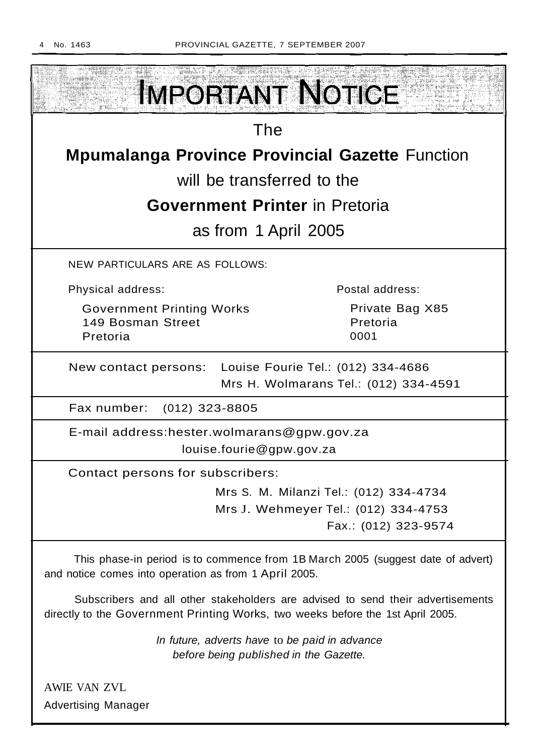

Advertising Manager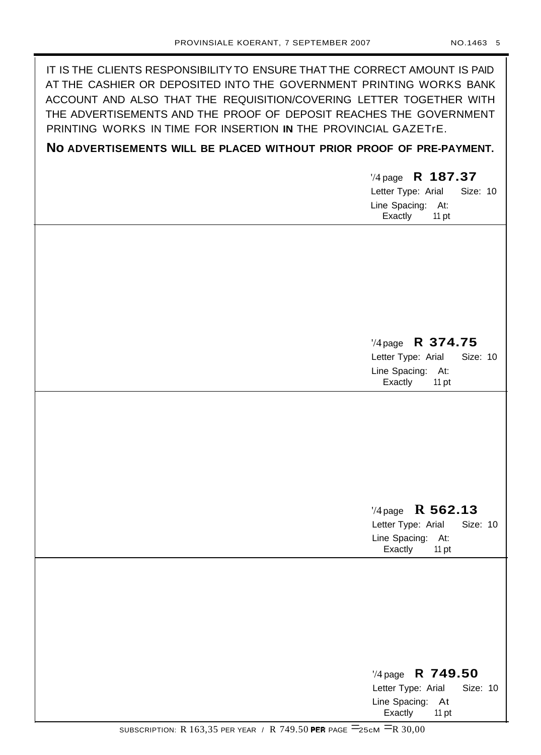IT IS THE CLIENTS RESPONSIBILITY TO ENSURE THAT THE CORRECT AMOUNT IS PAID AT THE CASHIER OR DEPOSITED INTO THE GOVERNMENT PRINTING WORKS BANK ACCOUNT AND ALSO THAT THE REQUISITION/COVERING LETTER TOGETHER WITH THE ADVERTISEMENTS AND THE PROOF OF DEPOSIT REACHES THE GOVERNMENT PRINTING WORKS IN TIME FOR INSERTION **IN** THE PROVINCIAL GAZETrE.

# **No ADVERTISEMENTS WILL BE PLACED WITHOUT PRIOR PROOF OF PRE-PAYMENT.**

'/4 page **R 187.37** Letter Type: Arial Size: 10 Line Spacing: At: Exactly 11 pt

# '/4 page **R 374.75**

Letter Type: Arial Size: 10 Line Spacing: At: Exactly 11 pt

# '/4 page **R 562.13**

Letter Type: Arial Size: 10 Line Spacing: At: Exactly 11 pt

# '/4 page **R 749.50** Letter Type: Arial Size: 10 Line Spacing: At Exactly 11 pt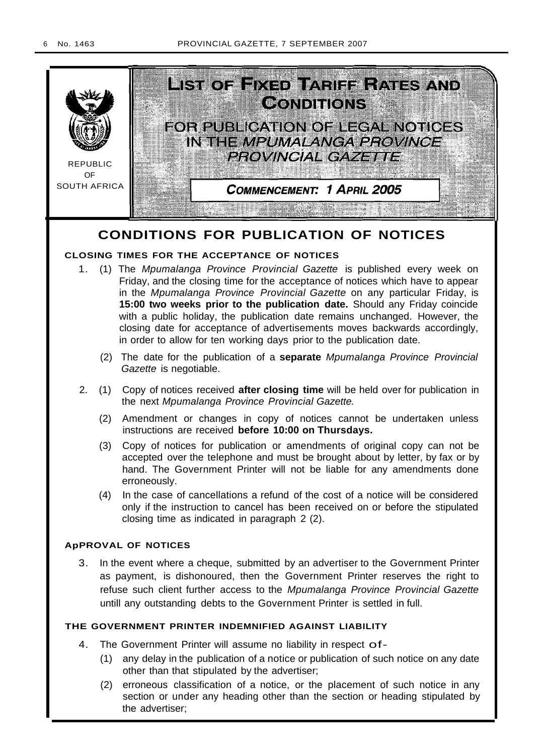

# **CONDITIONS FOR PUBLICATION OF NOTICES**

# **CLOSING TIMES FOR THE ACCEPTANCE OF NOTICES**

- 1. (1) The Mpumalanga Province Provincial Gazette is published every week on Friday, and the closing time for the acceptance of notices which have to appear in the Mpumalanga Province Provincial Gazette on any particular Friday, is **15:00 two weeks prior to the publication date.** Should any Friday coincide with a public holiday, the publication date remains unchanged. However, the closing date for acceptance of advertisements moves backwards accordingly, in order to allow for ten working days prior to the publication date.
	- (2) The date for the publication of a **separate** Mpumalanga Province Provincial Gazette is negotiable.
- 2. (1) Copy of notices received **after closing time** will be held over for publication in the next Mpumalanga Province Provincial Gazette.
	- (2) Amendment or changes in copy of notices cannot be undertaken unless instructions are received **before 10:00 on Thursdays.**
	- (3) Copy of notices for publication or amendments of original copy can not be accepted over the telephone and must be brought about by letter, by fax or by hand. The Government Printer will not be liable for any amendments done erroneously.
	- (4) In the case of cancellations a refund of the cost of a notice will be considered only if the instruction to cancel has been received on or before the stipulated closing time as indicated in paragraph 2 (2).

# **ApPROVAL OF NOTICES**

3. In the event where a cheque, submitted by an advertiser to the Government Printer as payment, is dishonoured, then the Government Printer reserves the right to refuse such client further access to the Mpumalanga Province Provincial Gazette untill any outstanding debts to the Government Printer is settled in full.

# **THE GOVERNMENT PRINTER INDEMNIFIED AGAINST LIABILITY**

- 4. The Government Printer will assume no liability in respect of-
	- (1) any delay in the publication of a notice or publication of such notice on any date other than that stipulated by the advertiser;
	- (2) erroneous classification of a notice, or the placement of such notice in any section or under any heading other than the section or heading stipulated by the advertiser;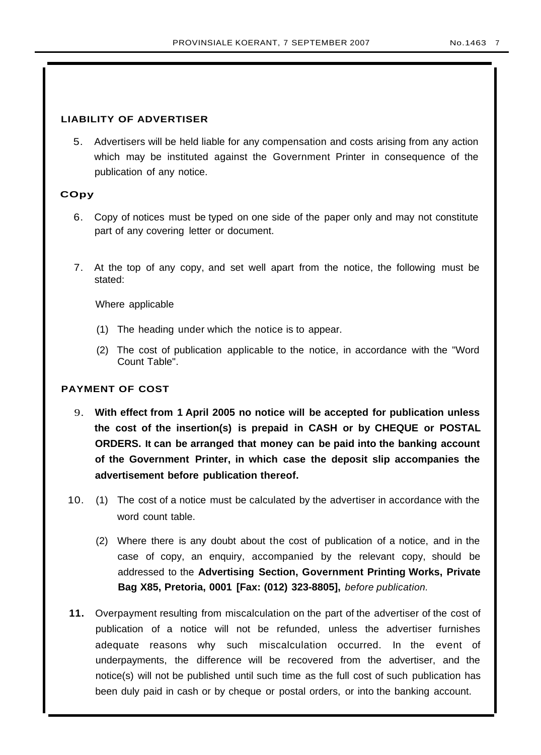# **LIABILITY OF ADVERTISER**

5. Advertisers will be held liable for any compensation and costs arising from any action which may be instituted against the Government Printer in consequence of the publication of any notice.

# **COpy**

- 6. Copy of notices must be typed on one side of the paper only and may not constitute part of any covering letter or document.
- 7. At the top of any copy, and set well apart from the notice, the following must be stated:

Where applicable

- (1) The heading under which the notice is to appear.
- (2) The cost of publication applicable to the notice, in accordance with the "Word Count Table".

# **PAYMENT OF COST**

- 9. **With effect from 1 April 2005 no notice will be accepted for publication unless the cost of the insertion(s) is prepaid in CASH or by CHEQUE or POSTAL ORDERS. It can be arranged that money can be paid into the banking account of the Government Printer, in which case the deposit slip accompanies the advertisement before publication thereof.**
- 10. (1) The cost of a notice must be calculated by the advertiser in accordance with the word count table.
	- (2) Where there is any doubt about the cost of publication of a notice, and in the case of copy, an enquiry, accompanied by the relevant copy, should be addressed to the **Advertising Section, Government Printing Works, Private Bag X85, Pretoria, 0001 [Fax: (012) 323-8805],** before publication.
- **11.** Overpayment resulting from miscalculation on the part of the advertiser of the cost of publication of a notice will not be refunded, unless the advertiser furnishes adequate reasons why such miscalculation occurred. In the event of underpayments, the difference will be recovered from the advertiser, and the notice(s) will not be published until such time as the full cost of such publication has been duly paid in cash or by cheque or postal orders, or into the banking account.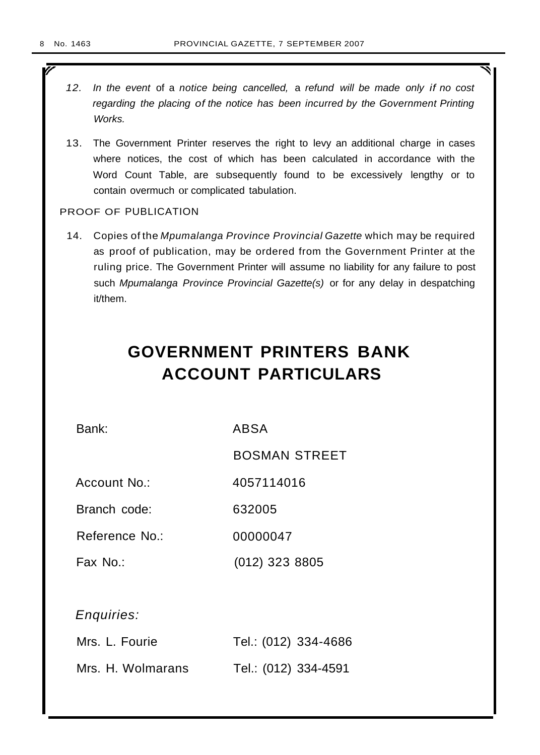r

- 12. In the event of a notice being cancelled, a refund will be made only if no cost regarding the placing of the notice has been incurred by the Government Printing Works.
- 13. The Government Printer reserves the right to levy an additional charge in cases where notices, the cost of which has been calculated in accordance with the Word Count Table, are subsequently found to be excessively lengthy or to contain overmuch or complicated tabulation.

# PROOF OF PUBLICATION

14. Copies of the Mpumalanga Province Provincial Gazette which may be required as proof of publication, may be ordered from the Government Printer at the ruling price. The Government Printer will assume no liability for any failure to post such Mpumalanga Province Provincial Gazette(s) or for any delay in despatching it/them.

# **GOVERNMENT PRINTERS BANK ACCOUNT PARTICULARS**

Bank: ABSA

BOSMAN STREET

Account No.: 4057114016

Branch code: 632005

Reference No.: 00000047

Fax No.: (012) 323 8805

Enquiries:

| Mrs. L. Fourie    | Tel.: (012) 334-4686 |
|-------------------|----------------------|
| Mrs. H. Wolmarans | Tel.: (012) 334-4591 |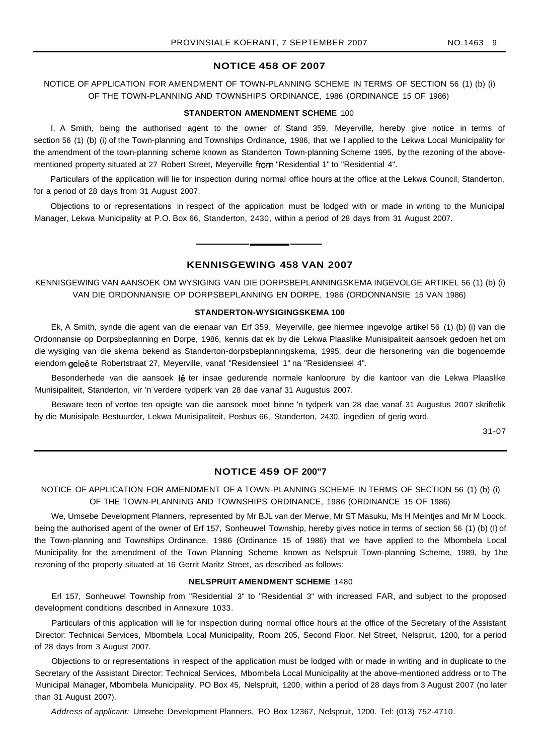## **NOTICE 458 OF 2007**

# NOTICE OF APPLICATION FOR AMENDMENT OF TOWN-PLANNING SCHEME IN TERMS OF SECTION 56 (1) (b) (i) OF THE TOWN-PLANNING AND TOWNSHIPS ORDINANCE, 1986 (ORDINANCE 15 OF 1986)

#### **STANDERTON AMENDMENT SCHEME** 100

I, A Smith, being the authorised agent to the owner of Stand 359, Meyerville, hereby give notice in terms of section 56 (1) (b) (i) of the Town-planning and Townships Ordinance, 1986, that we I applied to the Lekwa Local Municipality for the amendment of the town-planning scheme known as Standerton Town-planning Scheme 1995, by the rezoning of the abovementioned property situated at 27 Robert Street, Meyerville from "Residential 1" to "Residential 4".

Particulars of the application will lie for inspection during normal office hours at the office at the Lekwa Council, Standerton, for a period of 28 days from 31 August 2007.

Objections to or representations in respect of the appiication must be lodged with or made in writing to the Municipal Manager, Lekwa Municipality at P.O. Box 66, Standerton, 2430, within a period of 28 days from 31 August 2007.

# **KENNISGEWING 458 VAN 2007**

KENNISGEWING VAN AANSOEK OM WYSIGING VAN DIE DORPSBEPLANNINGSKEMA INGEVOLGE ARTIKEL 56 (1) (b) (i) VAN DIE ORDONNANSIE OP DORPSBEPLANNING EN DORPE, 1986 (ORDONNANSIE 15 VAN 1986)

# **STANDERTON-WYSIGINGSKEMA 100**

Ek, A Smith, synde die agent van die eienaar van Erf 359, Meyerville, gee hiermee ingevolge artikel 56 (1) (b) (i) van die Ordonnansie op Dorpsbeplanning en Dorpe, 1986, kennis dat ek by die Lekwa Plaaslike Munisipaliteit aansoek gedoen het om die wysiging van die skema bekend as Standerton-dorpsbeplanningskema, 1995, deur die hersonering van die bogenoemde eiendom geleë te Robertstraat 27, Meyerville, vanaf "Residensieel 1" na "Residensieel 4".

Besonderhede van die aansoek lê ter insae gedurende normale kanloorure by die kantoor van die Lekwa Plaaslike Munisipaliteit, Standerton, vir 'n verdere tydperk van 28 dae vanaf 31 Augustus 2007.

Besware teen of vertoe ten opsigte van die aansoek moet binne 'n tydperk van 28 dae vanaf 31 Augustus 2007 skriftelik by die Munisipale Bestuurder, Lekwa Munisipaliteit, Posbus 66, Standerton, 2430, ingedien of gerig word.

31-07

# **NOTICE 459 OF 200"7**

NOTICE OF APPLICATION FOR AMENDMENT OF A TOWN-PLANNING SCHEME IN TERMS OF SECTION 56 (1) (b) (i) OF THE TOWN-PLANNING AND TOWNSHIPS ORDINANCE, 1986 (ORDINANCE 15 OF 1986)

We, Umsebe Development Planners, represented by Mr BJL van der Merwe, Mr ST Masuku, Ms H Meintjes and Mr M Loock, being the authorised agent of the owner of Erf 157, Sonheuwel Township, hereby gives notice in terms of section 56 (1) (b) (I) of the Town-planning and Townships Ordinance, 1986 (Ordinance 15 of 1986) that we have applied to the Mbombela Local Municipality for the amendment of the Town Planning Scheme known as Nelspruit Town-planning Scheme, 1989, by 1he rezoning of the property situated at 16 Gerrit Maritz Street, as described as follows:

#### **NELSPRUIT AMENDMENT SCHEME** 1480

Erl 157, Sonheuwel Township from "Residential 3" to "Residential 3" with increased FAR, and subject to the proposed development conditions described in Annexure 1033.

Particulars of this application will lie for inspection during normal office hours at the office of the Secretary of the Assistant Director: Technicai Services, Mbombela Local Municipality, Room 205, Second Floor, Nel Street, Nelspruit, 1200, for a period of 28 days from 3 August 2007.

Objections to or representations in respect of the application must be lodged with or made in writing and in duplicate to the Secretary of the Assistant Director: Technical Services, Mbombela Local Municipality at the above-mentioned address or to The Municipal Manager, Mbombela Municipality, PO Box 45, Nelspruit, 1200, within a period of 28 days from 3 August 2007 (no later than 31 August 2007).

Address of applicant: Umsebe Development Planners, PO Box 12367, Nelspruit, 1200. Tel: (013) 752·4710.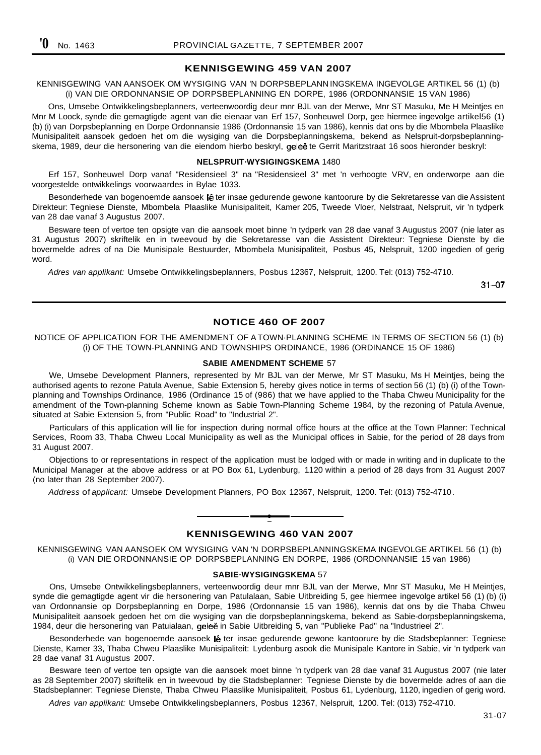## **KENNISGEWING 459 VAN 2007**

KENNISGEWING VAN AANSOEK OM WYSIGING VAN 'N DORPSBEPLANN INGSKEMA INGEVOLGE ARTIKEL 56 (1) (b) (i) VAN DIE ORDONNANSIE OP DORPSBEPLANNING EN DORPE, 1986 (ORDONNANSIE 15 VAN 1986)

Ons, Umsebe Ontwikkelingsbeplanners, verteenwoordig deur mnr BJL van der Merwe, Mnr ST Masuku, Me H Meintjes en Mnr M Loock, synde die gemagtigde agent van die eienaar van Erf 157, Sonheuwel Dorp, gee hiermee ingevolge artikel56 (1) (b) (i) van Dorpsbeplanning en Dorpe Ordonnansie 1986 (Ordonnansie 15 van 1986), kennis dat ons by die Mbombela Plaaslike Munisipaliteit aansoek gedoen het om die wysiging van die Dorpsbeplanningskema, bekend as Nelspruit-dorpsbeplanningskema, 1989, deur die hersonering van die eiendom hierbo beskryl, geleë te Gerrit Maritzstraat 16 soos hieronder beskryl:

#### **NELSPRUIT·WYSIGINGSKEMA** 1480

Erf 157, Sonheuwel Dorp vanaf "Residensieel 3" na "Residensieel 3" met 'n verhoogte VRV, en onderworpe aan die voorgestelde ontwikkelings voorwaardes in Bylae 1033.

Besonderhede van bogenoemde aansoek lê ter insae gedurende gewone kantoorure by die Sekretaresse van die Assistent Direkteur: Tegniese Dienste, Mbombela Plaaslike Munisipaliteit, Kamer 205, Tweede Vloer, Nelstraat, Nelspruit, vir 'n tydperk van 28 dae vanaf 3 Augustus 2007.

Besware teen of vertoe ten opsigte van die aansoek moet binne 'n tydperk van 28 dae vanaf 3 Augustus 2007 (nie later as 31 Augustus 2007) skriftelik en in tweevoud by die Sekretaresse van die Assistent Direkteur: Tegniese Dienste by die bovermelde adres of na Die Munisipale Bestuurder, Mbombela Munisipaliteit, Posbus 45, Nelspruit, 1200 ingedien of gerig word.

Adres van applikant: Umsebe Ontwikkelingsbeplanners, Posbus 12367, Nelspruit, 1200. Tel: (013) 752-4710.

 $31 - 07$ 

### **NOTICE 460 OF 2007**

#### NOTICE OF APPLICATION FOR THE AMENDMENT OF A TOWN·PLANNING SCHEME IN TERMS OF SECTION 56 (1) (b) (i) OF THE TOWN-PLANNING AND TOWNSHIPS ORDINANCE, 1986 (ORDINANCE 15 OF 1986)

#### **SABlE AMENDMENT SCHEME** 57

We, Umsebe Development Planners, represented by Mr BJL van der Merwe, Mr ST Masuku, Ms H Meintjes, being the authorised agents to rezone Patula Avenue, Sabie Extension 5, hereby gives notice in terms of section 56 (1) (b) (i) of the Townplanning and Townships Ordinance, 1986 (Ordinance 15 of (986) that we have applied to the Thaba Chweu Municipality for the amendment of the Town-planning Scheme known as Sabie Town-Planning Scheme 1984, by the rezoning of Patula Avenue, situated at Sabie Extension 5, from "Public Road" to "Industrial 2".

Particulars of this application will lie for inspection during normal office hours at the office at the Town Planner: Technical Services, Room 33, Thaba Chweu Local Municipality as well as the Municipal offices in Sabie, for the period of 28 days from 31 August 2007.

Objections to or representations in respect of the application must be lodged with or made in writing and in duplicate to the Municipal Manager at the above address or at PO Box 61, Lydenburg, 1120 within a period of 28 days from 31 August 2007 (no later than 28 September 2007).

Address of applicant: Umsebe Development Planners, PO Box 12367, Nelspruit, 1200. Tel: (013) 752-4710.

# **• KENNISGEWING 460 VAN 2007**

KENNISGEWING VAN AANSOEK OM WYSIGING VAN 'N DORPSBEPLANNINGSKEMA INGEVOLGE ARTIKEL 56 (1) (b) (i) VAN DIE ORDONNANSIE OP DORPSBEPLANNING EN DORPE, 1986 (ORDONNANSIE 15 van 1986)

#### **SABIE·WYSIGINGSKEMA** 57

Ons, Umsebe Ontwikkelingsbeplanners, verteenwoordig deur mnr BJL van der Merwe, Mnr ST Masuku, Me H Meintjes, synde die gemagtigde agent vir die hersonering van Patulalaan, Sabie Uitbreiding 5, gee hiermee ingevolge artikel 56 (1) (b) (i) van Ordonnansie op Dorpsbeplanning en Dorpe, 1986 (Ordonnansie 15 van 1986), kennis dat ons by die Thaba Chweu Munisipaliteit aansoek gedoen het om die wysiging van die dorpsbeplanningskema, bekend as Sabie-dorpsbeplanningskema, 1984, deur die hersonering van Patuialaan, geleë in Sabie Uitbreiding 5, van "Publieke Pad" na "Industrieel 2".

Besonderhede van bogenoemde aansoek lê ter insae gedurende gewone kantoorure by die Stadsbeplanner: Tegniese Dienste, Kamer 33, Thaba Chweu Plaaslike Munisipaliteit: Lydenburg asook die Munisipale Kantore in Sabie, vir 'n tydperk van 28 dae vanaf 31 Augustus 2007.

Besware teen of vertoe ten opsigte van die aansoek moet binne 'n tydperk van 28 dae vanaf 31 Augustus 2007 (nie later as 28 September 2007) skriftelik en in tweevoud by die Stadsbeplanner: Tegniese Dienste by die bovermelde adres of aan die Stadsbeplanner: Tegniese Dienste, Thaba Chweu Plaaslike Munisipaliteit, Posbus 61, Lydenburg, 1120, ingedien of gerig word.

Adres van applikant: Umsebe Ontwikkelingsbeplanners, Posbus 12367, Nelspruit, 1200. Tel: (013) 752-4710.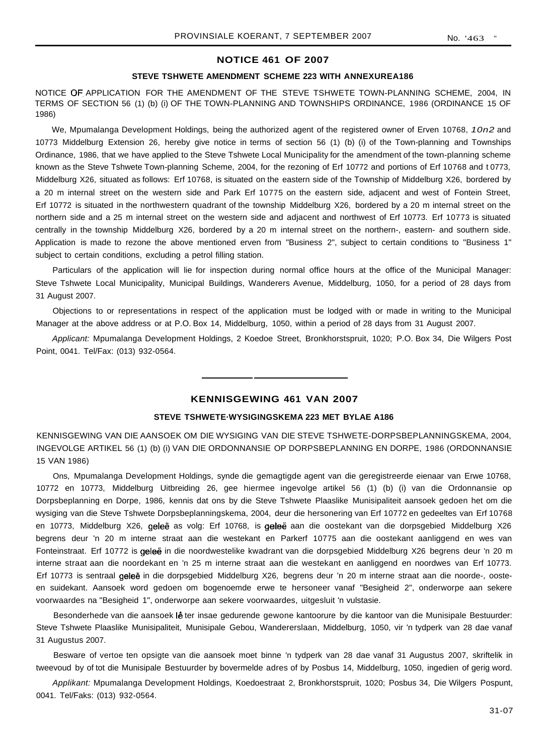#### **NOTICE 461 OF 2007**

#### **STEVE TSHWETE AMENDMENT SCHEME 223 WITH ANNEXUREA186**

NOTICE OF APPLICATION FOR THE AMENDMENT OF THE STEVE TSHWETE TOWN-PLANNING SCHEME, 2004, IN TERMS OF SECTION 56 (1) (b) (i) OF THE TOWN-PLANNING AND TOWNSHIPS ORDINANCE, 1986 (ORDINANCE 15 OF 1986)

We, Mpumalanga Development Holdings, being the authorized agent of the registered owner of Erven 10768, 10n2 and 10773 Middelburg Extension 26, hereby give notice in terms of section 56 (1) (b) (i) of the Town-planning and Townships Ordinance, 1986, that we have applied to the Steve Tshwete Local Municipality for the amendment of the town-planning scheme known as the Steve Tshwete Town-planning Scheme, 2004, for the rezoning of Erf 10772 and portions of Erf 10768 and t 0773, Middelburg X26, situated as follows: Erf 10768, is situated on the eastern side of the Township of Middelburg X26, bordered by a 20 m internal street on the western side and Park Erf 10775 on the eastern side, adjacent and west of Fontein Street, Erf 10772 is situated in the northwestern quadrant of the township Middelburg X26, bordered by a 20 m internal street on the northern side and a 25 m internal street on the western side and adjacent and northwest of Erf 10773. Erf 10773 is situated centrally in the township Middelburg X26, bordered by a 20 m internal street on the northern-, eastern- and southern side. Application is made to rezone the above mentioned erven from "Business 2", subject to certain conditions to "Business 1" subject to certain conditions, excluding a petrol filling station.

Particulars of the application will lie for inspection during normal office hours at the office of the Municipal Manager: Steve Tshwete Local Municipality, Municipal Buildings, Wanderers Avenue, Middelburg, 1050, for a period of 28 days from 31 August 2007.

Objections to or representations in respect of the application must be lodged with or made in writing to the Municipal Manager at the above address or at P.O. Box 14, Middelburg, 1050, within a period of 28 days from 31 August 2007.

Applicant: Mpumalanga Development Holdings, 2 Koedoe Street, Bronkhorstspruit, 1020; P.O. Box 34, Die Wilgers Post Point, 0041. Tel/Fax: (013) 932-0564.

# **KENNISGEWING 461 VAN 2007**

#### **STEVE TSHWETE·WYSIGINGSKEMA 223 MET BYLAE A186**

KENNISGEWING VAN DIE AANSOEK OM DIE WYSIGING VAN DIE STEVE TSHWETE-DORPSBEPLANNINGSKEMA, 2004, INGEVOLGE ARTIKEL 56 (1) (b) (i) VAN DIE ORDONNANSIE OP DORPSBEPLANNING EN DORPE, 1986 (ORDONNANSIE 15 VAN 1986)

Ons, Mpumalanga Development Holdings, synde die gemagtigde agent van die geregistreerde eienaar van Erwe 10768, 10772 en 10773, Middelburg Uitbreiding 26, gee hiermee ingevolge artikel 56 (1) (b) (i) van die Ordonnansie op Dorpsbeplanning en Dorpe, 1986, kennis dat ons by die Steve Tshwete Plaaslike Munisipaliteit aansoek gedoen het om die wysiging van die Steve Tshwete Dorpsbeplanningskema, 2004, deur die hersonering van Erf 10772 en gedeeltes van Erf 10768 en 10773, Middelburg X26, geleë as volg: Erf 10768, is geleë aan die oostekant van die dorpsgebied Middelburg X26 begrens deur 'n 20 m interne straat aan die westekant en Parkerf 10775 aan die oostekant aanliggend en wes van Fonteinstraat. Erf 10772 is geleë in die noordwestelike kwadrant van die dorpsgebied Middelburg X26 begrens deur 'n 20 m interne straat aan die noordekant en 'n 25 m interne straat aan die westekant en aanliggend en noordwes van Erf 10773. Erf 10773 is sentraal geleë in die dorpsgebied Middelburg X26, begrens deur 'n 20 m interne straat aan die noorde-, oosteen suidekant. Aansoek word gedoen om bogenoemde erwe te hersoneer vanaf "Besigheid 2", onderworpe aan sekere voorwaardes na "Besigheid 1", onderworpe aan sekere voorwaardes, uitgesluit 'n vulstasie.

Besonderhede van die aansoek lê ter insae gedurende gewone kantoorure by die kantoor van die Munisipale Bestuurder: Steve Tshwete Plaaslike Munisipaliteit, Munisipale Gebou, Wandererslaan, Middelburg, 1050, vir 'n tydperk van 28 dae vanaf 31 Augustus 2007.

Besware of vertoe ten opsigte van die aansoek moet binne 'n tydperk van 28 dae vanaf 31 Augustus 2007, skriftelik in tweevoud by of tot die Munisipale Bestuurder by bovermelde adres of by Posbus 14, Middelburg, 1050, ingedien of gerig word.

Applikant: Mpumalanga Development Holdings, Koedoestraat 2, Bronkhorstspruit, 1020; Posbus 34, Die Wilgers Pospunt, 0041. Tel/Faks: (013) 932-0564.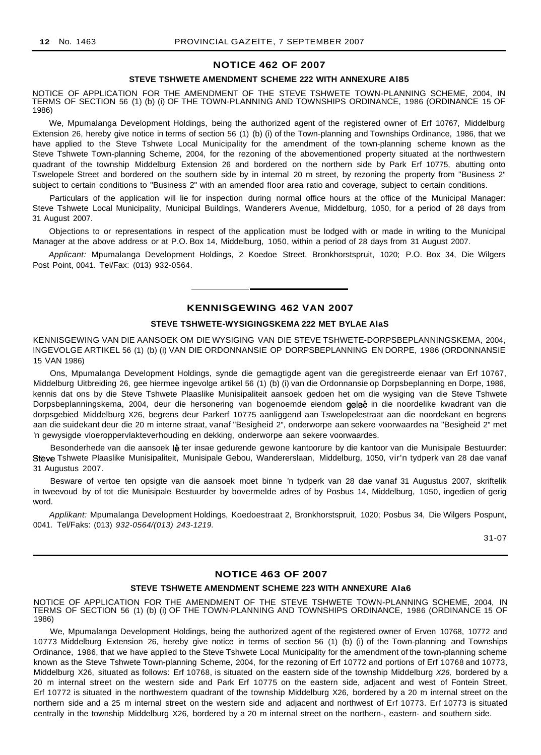#### **NOTICE 462 OF 2007**

#### **STEVE TSHWETE AMENDMENT SCHEME 222 WITH ANNEXURE Al85**

NOTICE OF APPLICATION FOR THE AMENDMENT OF THE STEVE TSHWETE TOWN-PLANNING SCHEME, 2004, IN TERMS OF SECTION 56 (1) (b) (i) OF THE TOWN-PLANNING AND TOWNSHIPS ORDINANCE, 1986 (ORDINANCE 15 OF 1986)

We, Mpumalanga Development Holdings, being the authorized agent of the registered owner of Erf 10767, Middelburg Extension 26, hereby give notice in terms of section 56 (1) (b) (i) of the Town-planning and Townships Ordinance, 1986, that we have applied to the Steve Tshwete Local Municipality for the amendment of the town-planning scheme known as the Steve Tshwete Town-planning Scheme, 2004, for the rezoning of the abovementioned property situated at the northwestern quadrant of the township Middelburg Extension 26 and bordered on the northern side by Park Erf 10775, abutting onto Tswelopele Street and bordered on the southern side by in internal 20 m street, by rezoning the property from "Business 2" subject to certain conditions to "Business 2" with an amended floor area ratio and coverage, subject to certain conditions.

Particulars of the application will lie for inspection during normal office hours at the office of the Municipal Manager: Steve Tshwete Local Municipality, Municipal Buildings, Wanderers Avenue, Middelburg, 1050, for a period of 28 days from 31 August 2007.

Objections to or representations in respect of the application must be lodged with or made in writing to the Municipal Manager at the above address or at P.O. Box 14, Middelburg, 1050, within a period of 28 days from 31 August 2007.

Applicant: Mpumalanga Development Holdings, 2 Koedoe Street, Bronkhorstspruit, 1020; P.O. Box 34, Die Wilgers Post Point, 0041. Tei/Fax: (013) 932-0564.

#### **KENNISGEWING 462 VAN 2007**

#### **STEVE TSHWETE-WYSIGINGSKEMA 222 MET BYLAE AlaS**

KENNISGEWING VAN DIE AANSOEK OM DIE WYSIGING VAN DIE STEVE TSHWETE-DORPSBEPLANNINGSKEMA, 2004, lNGEVOLGE ARTIKEL 56 (1) (b) (i) VAN DIE ORDONNANSIE OP DORPSBEPLANNING EN DORPE, 1986 (ORDONNANSIE 15 VAN 1986)

Ons, Mpumalanga Development Holdings, synde die gemagtigde agent van die geregistreerde eienaar van Erf 10767, Middelburg Uitbreiding 26, gee hiermee ingevolge artikel 56 (1) (b) (i) van die Ordonnansie op Dorpsbeplanning en Dorpe, 1986, kennis dat ons by die Steve Tshwete Plaaslike Munisipaliteit aansoek gedoen het om die wysiging van die Steve Tshwete Dorpsbeplanningskema, 2004, deur die hersonering van bogenoemde eiendom geleë in die noordelike kwadrant van die dorpsgebied Middelburg X26, begrens deur Parkerf 10775 aanliggend aan Tswelopelestraat aan die noordekant en begrens aan die suidekant deur die 20 m interne straat, vanaf "Besigheid 2", onderworpe aan sekere voorwaardes na "Besigheid 2" met 'n gewysigde vloeroppervlakteverhouding en dekking, onderworpe aan sekere voorwaardes.

Besonderhede van die aansoek lê ter insae gedurende gewone kantoorure by die kantoor van die Munisipale Bestuurder: Steve Tshwete Plaaslike Munisipaliteit, Munisipale Gebou, Wandererslaan, Middelburg, 1050, vir'n tydperk van 28 dae vanaf 31 Augustus 2007.

Besware of vertoe ten opsigte van die aansoek moet binne 'n tydperk van 28 dae vanaf 31 Augustus 2007, skriftelik in tweevoud by of tot die Munisipale Bestuurder by bovermelde adres of by Posbus 14, Middelburg, 1050, ingedien of gerig word.

Applikant: Mpumalanga Development Holdings, Koedoestraat 2, Bronkhorstspruit, 1020; Posbus 34, Die Wilgers Pospunt, 0041. Tel/Faks: (013) 932-0564/(013) 243-1219.

31-07

# **NOTICE 463 OF 2007**

#### **STEVE TSHWETE AMENDMENT SCHEME 223 WITH ANNEXURE Ala6**

NOTICE OF APPLICATION FOR THE AMENDMENT OF THE STEVE TSHWETE TOWN-PLANNING SCHEME, 2004, IN TERMS OF SECTION 56 (1) (b) (i) OF THE TOWN·PLANNING AND TOWNSHIPS ORDINANCE, 1986 (ORDINANCE 15 OF 1986)

We, Mpumalanga Development Holdings, being the authorized agent of the registered owner of Erven 10768, 10772 and 10773 Middelburg Extension 26, hereby give notice in terms of section 56 (1) (b) (i) of the Town-planning and Townships Ordinance, 1986, that we have applied to the Steve Tshwete Local Municipality for the amendment of the town-planning scheme known as the Steve Tshwete Town-planning Scheme, 2004, for the rezoning of Erf 10772 and portions of Erf 10768 and 10773, Middelburg X26, situated as follows: Erf 10768, is situated on the eastern side of the township Middelburg X26, bordered by a 20 m internal street on the western side and Park Erf 10775 on the eastern side, adjacent and west of Fontein Street, Erf 10772 is situated in the northwestern quadrant of the township Middelburg X26, bordered by a 20 m internal street on the northern side and a 25 m internal street on the western side and adjacent and northwest of Erf 10773. Erf 10773 is situated centrally in the township Middelburg X26, bordered by a 20 m internal street on the northern-, eastern- and southern side.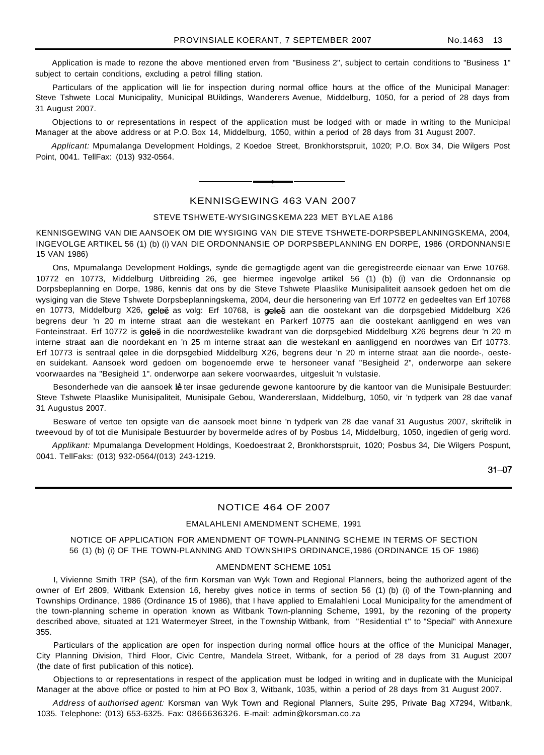Application is made to rezone the above mentioned erven from "Business 2", subject to certain conditions to "Business 1" subject to certain conditions, excluding a petrol filling station.

Particulars of the application will lie for inspection during normal office hours at the office of the Municipal Manager: Steve Tshwete Local Municipality, Municipal BUildings, Wanderers Avenue, Middelburg, 1050, for a period of 28 days from 31 August 2007.

Objections to or representations in respect of the application must be lodged with or made in writing to the Municipal Manager at the above address or at P.O. Box 14, Middelburg, 1050, within a period of 28 days from 31 August 2007.

Applicant: Mpumalanga Development Holdings, 2 Koedoe Street, Bronkhorstspruit, 1020; P.O. Box 34, Die Wilgers Post Point, 0041. TellFax: (013) 932-0564.

# **•** KENNISGEWING 463 VAN 2007

#### STEVE TSHWETE-WYSIGINGSKEMA 223 MET BYLAE A186

KENNISGEWING VAN DIE AANSOEK OM DIE WYSIGING VAN DIE STEVE TSHWETE-DORPSBEPLANNINGSKEMA, 2004, INGEVOLGE ARTIKEL 56 (1) (b) (i) VAN DIE ORDONNANSIE OP DORPSBEPLANNING EN DORPE, 1986 (ORDONNANSIE 15 VAN 1986)

Ons, Mpumalanga Development Holdings, synde die gemagtigde agent van die geregistreerde eienaar van Erwe 10768, 10772 en 10773, Middelburg Uitbreiding 26, gee hiermee ingevolge artikel 56 (1) (b) (i) van die Ordonnansie op Dorpsbeplanning en Dorpe, 1986, kennis dat ons by die Steve Tshwete Plaaslike Munisipaliteit aansoek gedoen het om die wysiging van die Steve Tshwete Dorpsbeplanningskema, 2004, deur die hersonering van Erf 10772 en gedeeltes van Erf 10768 en 10773, Middelburg X26, geleë as volg: Erf 10768, is geleë aan die oostekant van die dorpsgebied Middelburg X26 begrens deur 'n 20 m interne straat aan die westekant en Parkerf 10775 aan die oostekant aanliggend en wes van Fonteinstraat. Erf 10772 is geleë in die noordwestelike kwadrant van die dorpsgebied Middelburg X26 begrens deur 'n 20 m interne straat aan die noordekant en 'n 25 m interne straat aan die westekanl en aanliggend en noordwes van Erf 10773. Erf 10773 is sentraal qelee in die dorpsgebied Middelburg X26, begrens deur 'n 20 m interne straat aan die noorde-, oesteen suidekant. Aansoek word gedoen om bogenoemde erwe te hersoneer vanaf "Besigheid 2", onderworpe aan sekere voorwaardes na "Besigheid 1". onderworpe aan sekere voorwaardes, uitgesluit 'n vulstasie.

Besonderhede van die aansoek lê ter insae gedurende gewone kantoorure by die kantoor van die Munisipale Bestuurder: Steve Tshwete Plaaslike Munisipaliteit, Munisipale Gebou, Wandererslaan, Middelburg, 1050, vir 'n tydperk van 28 dae vanaf 31 Augustus 2007.

Besware of vertoe ten opsigte van die aansoek moet binne 'n tydperk van 28 dae vanaf 31 Augustus 2007, skriftelik in tweevoud by of tot die Munisipale Bestuurder by bovermelde adres of by Posbus 14, Middelburg, 1050, ingedien of gerig word.

Applikant: Mpumalanga Development Holdings, Koedoestraat 2, Bronkhorstspruit, 1020; Posbus 34, Die Wilgers Pospunt, 0041. TellFaks: (013) 932-0564/(013) 243-1219.

 $31 - 07$ 

# NOTICE 464 OF 2007

#### EMALAHLENI AMENDMENT SCHEME, 1991

#### NOTICE OF APPLICATION FOR AMENDMENT OF TOWN-PLANNING SCHEME IN TERMS OF SECTION 56 (1) (b) (i) OF THE TOWN-PLANNING AND TOWNSHIPS ORDINANCE,1986 (ORDINANCE 15 OF 1986)

#### AMENDMENT SCHEME 1051

I, Vivienne Smith TRP (SA), of the firm Korsman van Wyk Town and Regional Planners, being the authorized agent of the owner of Erf 2809, Witbank Extension 16, hereby gives notice in terms of section 56 (1) (b) (i) of the Town-planning and Townships Ordinance, 1986 (Ordinance 15 of 1986), that I have applied to Emalahleni Local Municipality for the amendment of the town-planning scheme in operation known as Witbank Town-planning Scheme, 1991, by the rezoning of the property described above, situated at 121 Watermeyer Street, in the Township Witbank, from "Residential t" to "Special" with Annexure 355.

Particulars of the application are open for inspection during normal office hours at the office of the Municipal Manager, City Planning Division, Third Floor, Civic Centre, Mandela Street, Witbank, for a period of 28 days from 31 August 2007 (the date of first publication of this notice).

Objections to or representations in respect of the application must be lodged in writing and in duplicate with the Municipal Manager at the above office or posted to him at PO Box 3, Witbank, 1035, within a period of 28 days from 31 August 2007.

Address of authorised agent: Korsman van Wyk Town and Regional Planners, Suite 295, Private Bag X7294, Witbank, 1035. Telephone: (013) 653-6325. Fax: 0866636326. E-mail: admin@korsman.co.za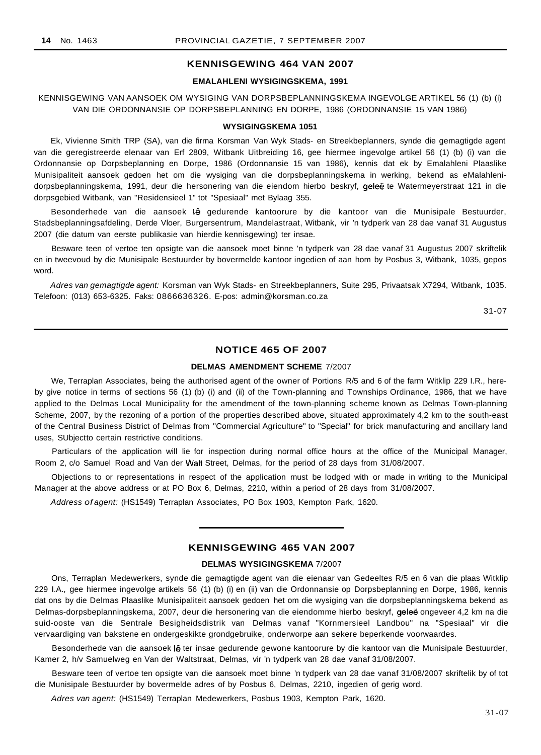# **KENNISGEWING 464 VAN 2007**

#### **EMALAHLENI WYSIGINGSKEMA, 1991**

# KENNISGEWING VAN AANSOEK OM WYSIGING VAN DORPSBEPLANNINGSKEMA INGEVOLGE ARTIKEL 56 (1) (b) (i) VAN DIE ORDONNANSIE OP DORPSBEPLANNING EN DORPE, 1986 (ORDONNANSIE 15 VAN 1986)

#### **WYSIGINGSKEMA 1051**

Ek, Vivienne Smith TRP (SA), van die firma Korsman Van Wyk Stads- en Streekbeplanners, synde die gemagtigde agent van die geregistreerde elenaar van Erf 2809, Witbank Uitbreiding 16, gee hiermee ingevolge artikel 56 (1) (b) (i) van die Ordonnansie op Dorpsbeplanning en Dorpe, 1986 (Ordonnansie 15 van 1986), kennis dat ek by Emalahleni Plaaslike Munisipaliteit aansoek gedoen het om die wysiging van die dorpsbeplanningskema in werking, bekend as eMalahlenidorpsbeplanningskema, 1991, deur die hersonering van die eiendom hierbo beskryf, geleë te Watermeyerstraat 121 in die dorpsgebied Witbank, van "Residensieel 1" tot "Spesiaal" met Bylaag 355.

Besonderhede van die aansoek lê gedurende kantoorure by die kantoor van die Munisipale Bestuurder, Stadsbeplanningsafdeling, Derde Vloer, Burgersentrum, Mandelastraat, Witbank, vir 'n tydperk van 28 dae vanaf 31 Augustus 2007 (die datum van eerste publikasie van hierdie kennisgewing) ter insae.

Besware teen of vertoe ten opsigte van die aansoek moet binne 'n tydperk van 28 dae vanaf 31 Augustus 2007 skriftelik en in tweevoud by die Munisipale Bestuurder by bovermelde kantoor ingedien of aan hom by Posbus 3, Witbank, 1035, gepos word.

Adres van gemagtigde agent: Korsman van Wyk Stads- en Streekbeplanners, Suite 295, Privaatsak X7294, Witbank, 1035. Telefoon: (013) 653-6325. Faks: 0866636326. E-pos: admin@korsman.co.za

31-07

# **NOTICE 465 OF 2007**

# **DELMAS AMENDMENT SCHEME** 7/2007

We, Terraplan Associates, being the authorised agent of the owner of Portions R/5 and 6 of the farm Witklip 229 I.R., hereby give notice in terms of sections 56 (1) (b) (i) and (ii) of the Town-planning and Townships Ordinance, 1986, that we have applied to the Delmas Local Municipality for the amendment of the town-planning scheme known as Delmas Town-planning Scheme, 2007, by the rezoning of a portion of the properties described above, situated approximately 4,2 km to the south-east of the Central Business District of Delmas from "Commercial Agriculture" to "Special" for brick manufacturing and ancillary land uses, SUbjectto certain restrictive conditions.

Particulars of the application will lie for inspection during normal office hours at the office of the Municipal Manager, Room 2, c/o Samuel Road and Van der Walt Street, Delmas, for the period of 28 days from 31/08/2007.

Objections to or representations in respect of the application must be lodged with or made in writing to the Municipal Manager at the above address or at PO Box 6, Delmas, 2210, within a period of 28 days from 31/08/2007.

Address of agent: (HS1549) Terraplan Associates, PO Box 1903, Kempton Park, 1620.

# **KENNISGEWING 465 VAN 2007**

#### **DELMAS WYSIGINGSKEMA** 7/2007

Ons, Terraplan Medewerkers, synde die gemagtigde agent van die eienaar van Gedeeltes R/5 en 6 van die plaas Witklip 229 I.A., gee hiermee ingevolge artikels 56 (1) (b) (i) en (ii) van die Ordonnansie op Dorpsbeplanning en Dorpe, 1986, kennis dat ons by die Delmas Plaaslike Munisipaliteit aansoek gedoen het om die wysiging van die dorpsbeplanningskema bekend as Delmas-dorpsbeplanningskema, 2007, deur die hersonering van die eiendomme hierbo beskryf, geleë ongeveer 4,2 km na die suid-ooste van die Sentrale Besigheidsdistrik van Delmas vanaf "Kornmersieel Landbou" na "Spesiaal" vir die vervaardiging van bakstene en ondergeskikte grondgebruike, onderworpe aan sekere beperkende voorwaardes.

Besonderhede van die aansoek lê ter insae gedurende gewone kantoorure by die kantoor van die Munisipale Bestuurder, Kamer 2, h/v Samuelweg en Van der Waltstraat, Delmas, vir 'n tydperk van 28 dae vanaf 31/08/2007.

Besware teen of vertoe ten opsigte van die aansoek moet binne 'n tydperk van 28 dae vanaf 31/08/2007 skriftelik by of tot die Munisipale Bestuurder by bovermelde adres of by Posbus 6, Delmas, 2210, ingedien of gerig word.

Adres van agent: (HS1549) Terraplan Medewerkers, Posbus 1903, Kempton Park, 1620.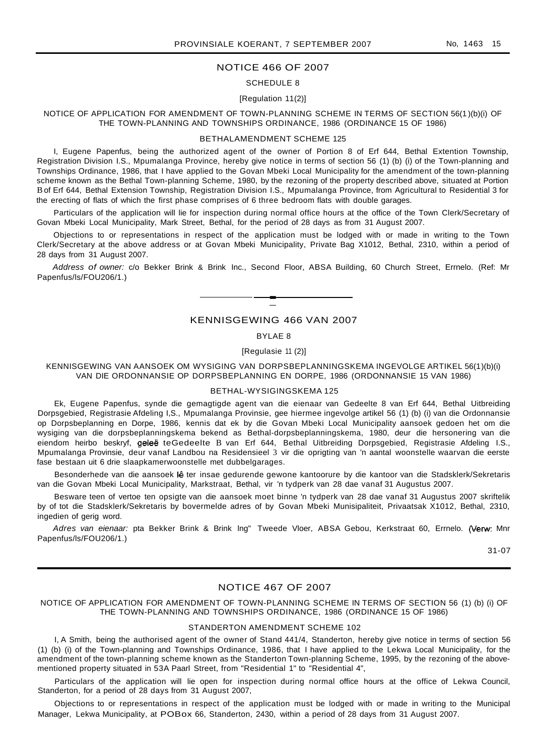#### NOTICE 466 OF 2007

#### SCHEDULE 8

#### [Regulation 11(2)]

#### NOTICE OF APPLICATION FOR AMENDMENT OF TOWN-PLANNING SCHEME IN TERMS OF SECTION 56(1 )(b)(i) OF THE TOWN-PLANNING AND TOWNSHIPS ORDINANCE, 1986 (ORDINANCE 15 OF 1986)

#### BETHALAMENDMENT SCHEME 125

I, Eugene Papenfus, being the authorized agent of the owner of Portion 8 of Erf 644, Bethal Extention Township, Registration Division I.S., Mpumalanga Province, hereby give notice in terms of section 56 (1) (b) (i) of the Town-planning and Townships Ordinance, 1986, that I have applied to the Govan Mbeki Local Municipality for the amendment of the town-planning scheme known as the Bethal Town-planning Scheme, 1980, by the rezoning of the property described above, situated at Portion Bof Erf 644, Bethal Extension Township, Registration Division I.S., Mpumalanga Province, from Agricultural to Residential 3 for the erecting of flats of which the first phase comprises of 6 three bedroom flats with double garages.

Particulars of the application will lie for inspection during normal office hours at the office of the Town Clerk/Secretary of Govan Mbeki Local Municipality, Mark Street, Bethal, for the period of 28 days as from 31 August 2007.

Objections to or representations in respect of the application must be lodged with or made in writing to the Town Clerk/Secretary at the above address or at Govan Mbeki Municipality, Private Bag X1012, Bethal, 2310, within a period of 28 days from 31 August 2007.

Address of owner: c/o Bekker Brink & Brink Inc., Second Floor, ABSA Building, 60 Church Street, Errnelo. (Ref: Mr Papenfus/ls/FOU206/1.)

# KENNISGEWING 466 VAN 2007

**-**

#### BYLAE 8

#### [Regulasie 11 (2)]

KENNISGEWING VAN AANSOEK OM WYSIGING VAN DORPSBEPLANNINGSKEMA INGEVOLGE ARTIKEL 56(1)(b)(i) VAN DIE ORDONNANSIE OP DORPSBEPLANNING EN DORPE, 1986 (ORDONNANSIE 15 VAN 1986)

#### BETHAL-WYSIGINGSKEMA 125

Ek, Eugene Papenfus, synde die gemagtigde agent van die eienaar van Gedeelte 8 van Erf 644, Bethal Uitbreiding Dorpsgebied, Registrasie Afdeling I,S., Mpumalanga Provinsie, gee hiermee ingevolge artikel 56 (1) (b) (i) van die Ordonnansie op Dorpsbeplanning en Dorpe, 1986, kennis dat ek by die Govan Mbeki Local Municipality aansoek gedoen het om die wysiging van die dorpsbeplanningskema bekend as Bethal-dorpsbeplanningskema, 1980, deur die hersonering van die eiendom heirbo beskryf, geleë teGedeelte B van Erf 644, Bethal Uitbreiding Dorpsgebied, Registrasie Afdeling I.S., Mpumalanga Provinsie, deur vanaf Landbou na Residensieel 3 vir die oprigting van 'n aantal woonstelle waarvan die eerste fase bestaan uit 6 drie slaapkamerwoonstelle met dubbelgarages.

Besonderhede van die aansoek lê ter insae gedurende gewone kantoorure by die kantoor van die Stadsklerk/Sekretaris van die Govan Mbeki Local Municipality, Markstraat, Bethal, vir 'n tydperk van 28 dae vanaf 31 Augustus 2007.

Besware teen of vertoe ten opsigte van die aansoek moet binne 'n tydperk van 28 dae vanaf 31 Augustus 2007 skriftelik by of tot die Stadsklerk/Sekretaris by bovermelde adres of by Govan Mbeki Munisipaliteit, Privaatsak X1012, Bethal, 2310, ingedien of gerig word.

Adres van eienaar: pta Bekker Brink & Brink Ing" Tweede Vloer, ABSA Gebou, Kerkstraat 60, Errnelo. (Verw: Mnr Papenfus/ls/FOU206/1.)

31-07

#### NOTICE 467 OF 2007

#### NOTICE OF APPLICATION FOR AMENDMENT OF TOWN-PLANNING SCHEME IN TERMS OF SECTION 56 (1) (b) (i) OF THE TOWN-PLANNING AND TOWNSHIPS ORDINANCE, 1986 (ORDINANCE 15 OF 1986)

#### STANDERTON AMENDMENT SCHEME 102

I, A Smith, being the authorised agent of the owner of Stand 441/4, Standerton, hereby give notice in terms of section 56 (1) (b) (i) of the Town-planning and Townships Ordinance, 1986, that I have applied to the Lekwa Local Municipality, for the amendment of the town-planning scheme known as the Standerton Town-planning Scheme, 1995, by the rezoning of the abovementioned property situated in 53A Paarl Street, from "Residential 1" to "Residential 4",

Particulars of the application will lie open for inspection during normal office hours at the office of Lekwa Council, Standerton, for a period of 28 days from 31 August 2007,

Objections to or representations in respect of the application must be lodged with or made in writing to the Municipal Manager, Lekwa Municipality, at POBox 66, Standerton, 2430, within a period of 28 days from 31 August 2007.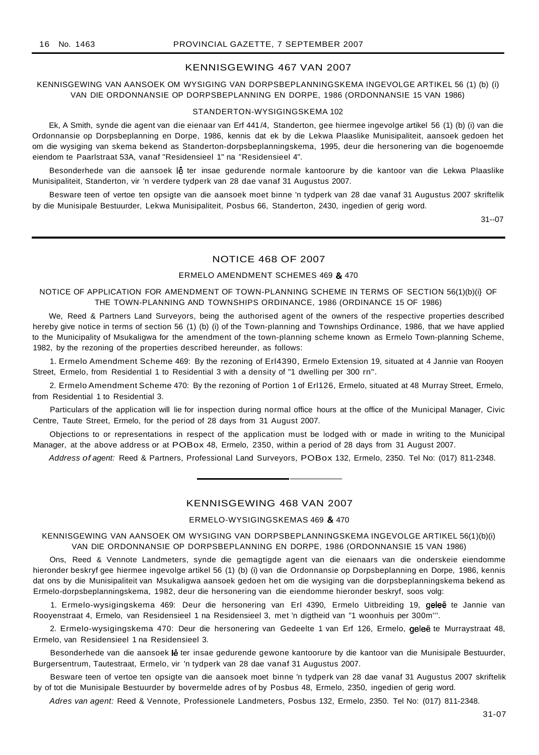#### KENNISGEWING 467 VAN 2007

# KENNISGEWING VAN AANSOEK OM WYSIGING VAN DORPSBEPLANNINGSKEMA INGEVOLGE ARTIKEL 56 (1) (b) (i) VAN DIE ORDONNANSIE OP DORPSBEPLANNING EN DORPE, 1986 (ORDONNANSIE 15 VAN 1986)

#### STANDERTON-WYSIGINGSKEMA 102

Ek, A Smith, synde die agent van die eienaar van Erf 441/4, Standerton, gee hiermee ingevolge artikel 56 (1) (b) (i) van die Ordonnansie op Dorpsbeplanning en Dorpe, 1986, kennis dat ek by die Lekwa Plaaslike Munisipaliteit, aansoek gedoen het om die wysiging van skema bekend as Standerton-dorpsbeplanningskema, 1995, deur die hersonering van die bogenoemde eiendom te Paarlstraat 53A, vanaf "Residensieel 1" na "Residensieel 4".

Besonderhede van die aansoek lê ter insae gedurende normale kantoorure by die kantoor van die Lekwa Plaaslike Munisipaliteit, Standerton, vir 'n verdere tydperk van 28 dae vanaf 31 Augustus 2007.

Besware teen of vertoe ten opsigte van die aansoek moet binne 'n tydperk van 28 dae vanaf 31 Augustus 2007 skriftelik by die Munisipale Bestuurder, Lekwa Munisipaliteit, Posbus 66, Standerton, 2430, ingedien of gerig word.

31--07

# NOTICE 468 OF 2007

#### ERMELO AMENDMENT SCHEMES 469 & 470

#### NOTICE OF APPLICATION FOR AMENDMENT OF TOWN-PLANNING SCHEME IN TERMS OF SECTION 56(1)(b)(i} OF THE TOWN-PLANNING AND TOWNSHIPS ORDINANCE, 1986 (ORDINANCE 15 OF 1986)

We, Reed & Partners Land Surveyors, being the authorised agent of the owners of the respective properties described hereby give notice in terms of section 56 (1) (b) (i) of the Town-planning and Townships Ordinance, 1986, that we have applied to the Municipality of Msukaligwa for the amendment of the town-planning scheme known as Ermelo Town-planning Scheme, 1982, by the rezoning of the properties described hereunder, as follows:

1. Ermelo Amendment Scheme 469: By the rezoning of Erl4390, Ermelo Extension 19, situated at 4 Jannie van Rooyen Street, Ermelo, from Residential 1 to Residential 3 with a density of "1 dwelling per 300 rn".

2. Ermelo Amendment Scheme 470: By the rezoning of Portion 1 of Erl126, Ermelo, situated at 48 Murray Street, Ermelo, from Residential 1 to Residential 3.

Particulars of the application will lie for inspection during normal office hours at the office of the Municipal Manager, Civic Centre, Taute Street, Ermelo, for the period of 28 days from 31 August 2007.

Objections to or representations in respect of the application must be lodged with or made in writing to the Municipal Manager, at the above address or at POBox 48, Ermelo, 2350, within a period of 28 days from 31 August 2007.

Address of agent: Reed & Partners, Professional Land Surveyors, POBox 132, Ermelo, 2350. Tel No: (017) 811-2348.

#### KENNISGEWING 468 VAN 2007

#### ERMELO-WYSIGINGSKEMAS 469 & 470

KENNISGEWING VAN AANSOEK OM WYSIGING VAN DORPSBEPLANNINGSKEMA INGEVOLGE ARTIKEL 56(1)(b)(i) VAN DIE ORDONNANSIE OP DORPSBEPLANNING EN DORPE, 1986 (ORDONNANSIE 15 VAN 1986)

Ons, Reed & Vennote Landmeters, synde die gemagtigde agent van die eienaars van die onderskeie eiendomme hieronder beskryf gee hiermee ingevolge artikel 56 (1) (b) (i) van die Ordonnansie op Dorpsbeplanning en Dorpe, 1986, kennis dat ons by die Munisipaliteit van Msukaligwa aansoek gedoen het om die wysiging van die dorpsbeplanningskema bekend as Ermelo-dorpsbeplanningskema, 1982, deur die hersonering van die eiendomme hieronder beskryf, soos volg:

1. Ermelo-wysigingskema 469: Deur die hersonering van Erl 4390, Ermelo Uitbreiding 19, geleë te Jannie van Rooyenstraat 4, Ermelo, van Residensieel 1 na Residensieel 3, met 'n digtheid van "1 woonhuis per 300m'''.

2. Ermelo-wysigingskema 470: Deur die hersonering van Gedeelte 1 van Erf 126, Ermelo, geleë te Murraystraat 48, Ermelo, van Residensieel 1 na Residensieel 3.

Besonderhede van die aansoek lê ter insae gedurende gewone kantoorure by die kantoor van die Munisipale Bestuurder, Burgersentrum, Tautestraat, Ermelo, vir 'n tydperk van 28 dae vanaf 31 Augustus 2007.

Besware teen of vertoe ten opsigte van die aansoek moet binne 'n tydperk van 28 dae vanaf 31 Augustus 2007 skriftelik by of tot die Munisipale Bestuurder by bovermelde adres of by Posbus 48, Ermelo, 2350, ingedien of gerig word.

Adres van agent: Reed & Vennote, Professionele Landmeters, Posbus 132, Ermelo, 2350. Tel No: (017) 811-2348.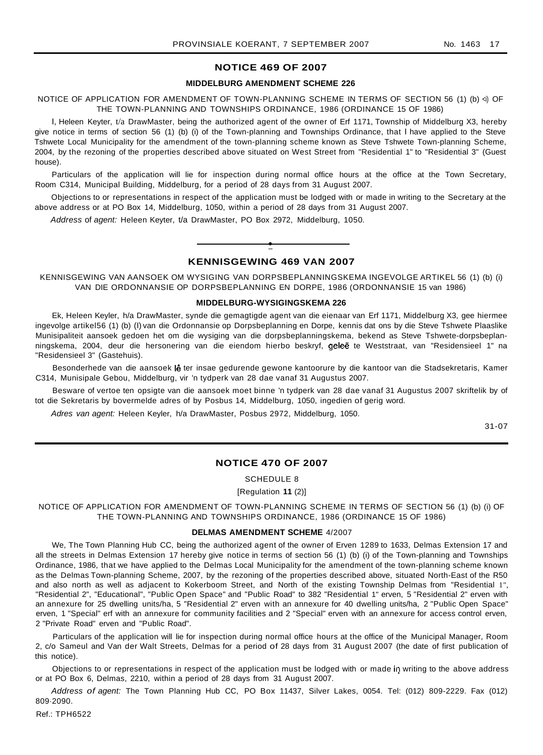# **NOTICE 469 OF 2007**

#### **MIDDELBURG AMENDMENT SCHEME 226**

NOTICE OF APPLICATION FOR AMENDMENT OF TOWN-PLANNING SCHEME IN TERMS OF SECTION 56 (1) (b) <i) OF THE TOWN-PLANNING AND TOWNSHIPS ORDINANCE, 1986 (ORDINANCE 15 OF 1986)

I, Heleen Keyter, t/a DrawMaster, being the authorized agent of the owner of Erf 1171, Township of Middelburg X3, hereby give notice in terms of section 56 (1) (b) (i) of the Town-planning and Townships Ordinance, that I have applied to the Steve Tshwete Local Municipality for the amendment of the town-planning scheme known as Steve Tshwete Town-planning Scheme, 2004, by the rezoning of the properties described above situated on West Street from "Residential 1" to "Residential 3" (Guest house).

Particulars of the application will lie for inspection during normal office hours at the office at the Town Secretary, Room C314, Municipal Building, Middelburg, for a period of 28 days from 31 August 2007.

Objections to or representations in respect of the application must be lodged with or made in writing to the Secretary at the above address or at PO Box 14, Middelburg, 1050, within a period of 28 days from 31 August 2007.

Address of agent: Heleen Keyter, t/a DrawMaster, PO Box 2972, Middelburg, 1050.

# **• KENNISGEWING 469 VAN 2007**

KENNISGEWING VAN AANSOEK OM WYSIGING VAN DORPSBEPLANNINGSKEMA INGEVOLGE ARTIKEL 56 (1) (b) (i) VAN DIE ORDONNANSIE OP DORPSBEPLANNING EN DORPE, 1986 (ORDONNANSIE 15 van 1986)

#### **MIDDELBURG-WYSIGINGSKEMA 226**

Ek, Heleen Keyler, h/a DrawMaster, synde die gemagtigde agent van die eienaar van Erf 1171, Middelburg X3, gee hiermee ingevolge artikel56 (1) (b) (I) van die Ordonnansie op Dorpsbeplanning en Dorpe, kennis dat ons by die Steve Tshwete Plaaslike Munisipaliteit aansoek gedoen het om die wysiging van die dorpsbeplanningskema, bekend as Steve Tshwete-dorpsbeplanningskema, 2004, deur die hersonering van die eiendom hierbo beskryf, geleë te Weststraat, van "Residensieel 1" na "Residensieel 3" (Gastehuis).

Besonderhede van die aansoek lê ter insae gedurende gewone kantoorure by die kantoor van die Stadsekretaris, Kamer C314, Munisipale Gebou, Middelburg, vir 'n tydperk van 28 dae vanaf 31 Augustus 2007.

Besware of vertoe ten opsigte van die aansoek moet binne 'n tydperk van 28 dae vanaf 31 Augustus 2007 skriftelik by of tot die Sekretaris by bovermelde adres of by Posbus 14, Middelburg, 1050, ingedien of gerig word.

Adres van agent: Heleen Keyler, h/a DrawMaster, Posbus 2972, Middelburg, 1050.

31-07

#### **NOTICE 470 OF 2007**

SCHEDULE 8

[Regulation **11** (2)]

NOTICE OF APPLICATION FOR AMENDMENT OF TOWN-PLANNING SCHEME IN TERMS OF SECTION 56 (1) (b) (i) OF THE TOWN-PLANNING AND TOWNSHIPS ORDINANCE, 1986 (ORDINANCE 15 OF 1986)

#### **DELMAS AMENDMENT SCHEME** 4/2007

We, The Town Planning Hub CC, being the authorized agent of the owner of Erven 1289 to 1633, Delmas Extension 17 and all the streets in Delmas Extension 17 hereby give notice in terms of section 56 (1) (b) (i) of the Town-planning and Townships Ordinance, 1986, that we have applied to the Delmas Local Municipality for the amendment of the town-planning scheme known as the Delmas Town-planning Scheme, 2007, by the rezoning of the properties described above, situated North-East of the R50 and also north as well as adjacent to Kokerboom Street, and North of the existing Township Delmas from "Residential 1", "Residential 2", "Educational", "Public Open Space" and "Public Road" to 382 "Residential 1" erven, 5 "Residential 2" erven with an annexure for 25 dwelling units/ha, 5 "Residential 2" erven with an annexure for 40 dwelling units/ha, 2 "Public Open Space" erven, 1 "Special" erf with an annexure for community facilities and 2 "Special" erven with an annexure for access control erven, 2 "Private Road" erven and "Public Road".

Particulars of the application will lie for inspection during normal office hours at the office of the Municipal Manager, Room 2, c/o Sameul and Van der Walt Streets, Delmas for a period of 28 days from 31 August 2007 (the date of first publication of this notice).

Objections to or representations in respect of the application must be lodged with or made in writing to the above address or at PO Box 6, Delmas, 2210, within a period of 28 days from 31 August 2007.

Address of agent: The Town Planning Hub CC, PO Box 11437, Silver Lakes, 0054. Tel: (012) 809-2229. Fax (012) 809·2090.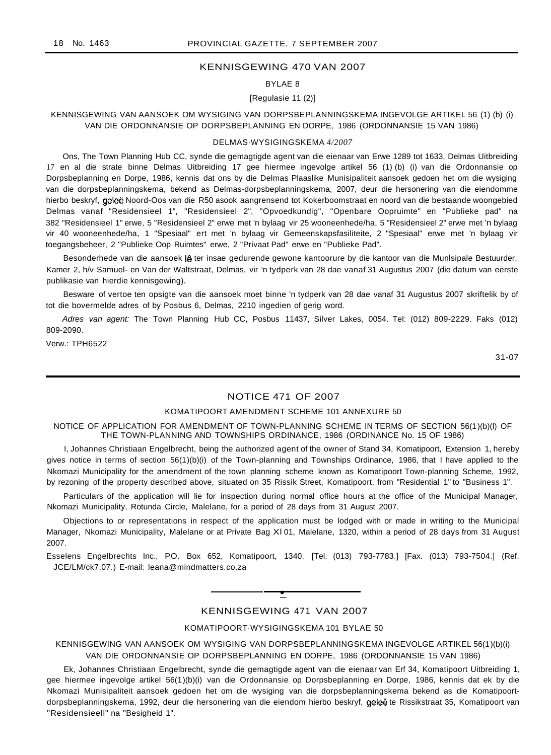# KENNISGEWING 470 VAN 2007

# BYLAE 8

#### [Regulasie 11 (2)]

# KENNISGEWING VAN AANSOEK OM WYSIGING VAN DORPSBEPLANNINGSKEMA INGEVOLGE ARTIKEL 56 (1) (b) (i) VAN DIE ORDONNANSIE OP DORPSBEPLANNING EN DORPE, 1986 (ORDONNANSIE 15 VAN 1986)

#### DELMAS·WYSIGINGSKEMA *4/2007*

Ons, The Town Planning Hub CC, synde die gemagtigde agent van die eienaar van Erwe 1289 tot 1633, Delmas Uitbreiding 17 en al die strate binne Delmas Uitbreiding 17 gee hiermee ingevolge artikel 56 (1) (b) (i) van die Ordonnansie op Dorpsbeplanning en Dorpe, 1986, kennis dat ons by die Delmas Plaaslike Munisipaliteit aansoek gedoen het om die wysiging van die dorpsbeplanningskema, bekend as Delmas-dorpsbeplanningskema, 2007, deur die hersonering van die eiendomme hierbo beskryf, geleë Noord-Oos van die R50 asook aangrensend tot Kokerboomstraat en noord van die bestaande woongebied Delmas vanaf "Residensieel 1", "Residensieel 2", "Opvoedkundig", "Openbare Oopruimte" en "Publieke pad" na 382 "Residensieel 1" erwe, 5 "Residensieel 2" erwe met 'n bylaag vir 25 wooneenhede/ha, 5 "Residensieel 2" erwe met 'n bylaag vir 40 wooneenhede/ha, 1 "Spesiaal" ert met 'n bylaag vir Gemeenskapsfasiliteite, 2 "Spesiaal" erwe met 'n bylaag vir toegangsbeheer, 2 "Publieke Oop Ruimtes" erwe, 2 "Privaat Pad" erwe en "Publieke Pad".

Besonderhede van die aansoek lê ter insae gedurende gewone kantoorure by die kantoor van die Munlsipale Bestuurder, Kamer 2, h/v Samuel- en Van der Waltstraat, Delmas, vir 'n tydperk van 28 dae vanaf 31 Augustus 2007 (die datum van eerste publikasie van hierdie kennisgewing).

Besware of vertoe ten opsigte van die aansoek moet binne 'n tydperk van 28 dae vanaf 31 Augustus 2007 skriftelik by of tot die bovermelde adres of by Posbus 6, Delmas, 2210 ingedien of gerig word.

Adres van agent: The Town Planning Hub CC, Posbus 11437, Silver Lakes, 0054. Tel: (012) 809-2229. Faks (012) 809-2090.

Verw.: TPH6522

31-07

# NOTICE 471 OF 2007

# KOMATIPOORT AMENDMENT SCHEME 101 ANNEXURE 50

NOTICE OF APPLICATION FOR AMENDMENT OF TOWN-PLANNING SCHEME IN TERMS OF SECTION 56(1)(b)(l) OF THE TOWN-PLANNING AND TOWNSHIPS ORDINANCE, 1986 (ORDINANCE No. 15 OF 1986)

I, Johannes Christiaan Engelbrecht, being the authorized agent of the owner of Stand 34, Komatipoort, Extension 1, hereby gives notice in terms of section 56(1)(b)(i) of the Town-planning and Townships Ordinance, 1986, that I have applied to the Nkomazi Municipality for the amendment of the town planning scheme known as Komatipoort Town-planning Scheme, 1992, by rezoning of the property described above, situated on 35 Rissik Street, Komatipoort, from "Residential 1" to "Business 1".

Particulars of the application will lie for inspection during normal office hours at the office of the Municipal Manager, Nkomazi Municipality, Rotunda Circle, Malelane, for a period of 28 days from 31 August 2007.

Objections to or representations in respect of the application must be lodged with or made in writing to the Municipal Manager, Nkomazi Municipality, Malelane or at Private Bag Xl 01, Malelane, 1320, within a period of 28 days from 31 August 2007.

Esselens Engelbrechts Inc., PO. Box 652, Komatipoort, 1340. [Tel. (013) 793-7783.] [Fax. (013) 793-7504.] (Ref. JCE/LM/ck7.07.) E-mail: leana@mindmatters.co.za



# KENNISGEWING 471 VAN 2007

KOMATIPOORT·WYSIGINGSKEMA 101 BYLAE 50

KENNISGEWING VAN AANSOEK OM WYSIGING VAN DORPSBEPLANNINGSKEMA INGEVOLGE ARTIKEL 56(1)(b)(i) VAN DIE ORDONNANSIE OP DORPSBEPLANNING EN DORPE, 1986 (ORDONNANSIE 15 VAN 1986)

Ek, Johannes Christiaan Engelbrecht, synde die gemagtigde agent van die eienaar van Erf 34, Komatipoort Uitbreiding 1, gee hiermee ingevolge artikel 56(1)(b)(i) van die Ordonnansie op Dorpsbeplanning en Dorpe, 1986, kennis dat ek by die Nkomazi Munisipaliteit aansoek gedoen het om die wysiging van die dorpsbeplanningskema bekend as die Komatipoortdorpsbeplanningskema, 1992, deur die hersonering van die eiendom hierbo beskryf, geleë te Rissikstraat 35, Komatipoort van "Residensieell" na "Besigheid 1".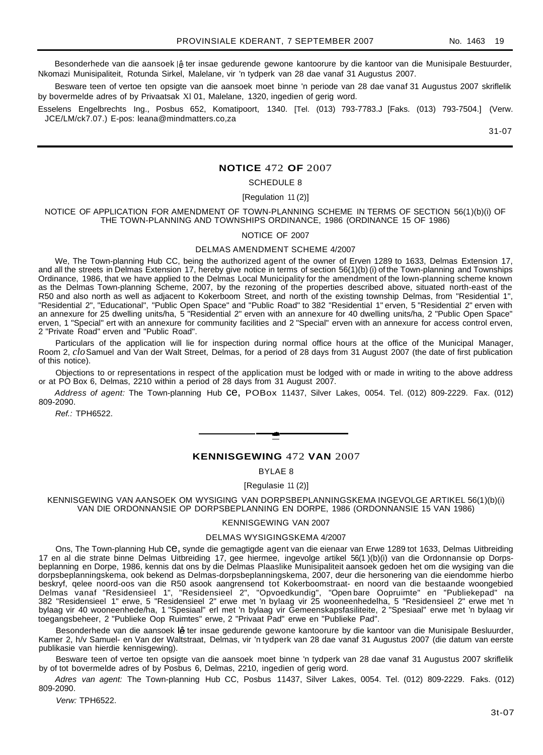Besonderhede van die aansoek lê ter insae gedurende gewone kantoorure by die kantoor van die Munisipale Bestuurder, Nkomazi Munisipaliteit, Rotunda Sirkel, Malelane, vir 'n tydperk van 28 dae vanaf 31 Augustus 2007.

Besware teen of vertoe ten opsigte van die aansoek moet binne 'n periode van 28 dae vanaf 31 Augustus 2007 skriflelik by bovermelde adres of by Privaatsak Xl 01, Malelane, 1320, ingedien of gerig word.

Esselens Engelbrechts Ing., Posbus 652, Komatipoort, 1340. [Tel. (013) 793-7783.J [Faks. (013) 793-7504.] (Verw. JCE/LM/ck7.07.) E-pos: leana@mindmatters.co,za

31-07

# **NOTICE** 472 **OF** 2007

# SCHEDULE 8

[Regulation 11 (2)]

NOTICE OF APPLICATION FOR AMENDMENT OF TOWN-PLANNING SCHEME IN TERMS OF SECTION 56(1)(b)(i) OF THE TOWN-PLANNING AND TOWNSHIPS ORDINANCE, 1986 (ORDINANCE 15 OF 1986)

#### NOTICE OF 2007

#### DELMAS AMENDMENT SCHEME 4/2007

We, The Town-planning Hub CC, being the authorized agent of the owner of Erven 1289 to 1633, Delmas Extension 17, and all the streets in Delmas Extension 17, hereby give notice in terms of section 56(1)(b) (i) of the Town-planning and Townships Ordinance, 1986, that we have applied to the Delmas Local Municipality for the amendment of the lown-planning scheme known as the Delmas Town-planning Scheme, 2007, by the rezoning of the properties described above, situated north-east of the R50 and also north as well as adjacent to Kokerboom Street, and north of the existing township Delmas, from "Residential 1", "Residential 2", "Educational", "Public Open Space" and "Public Road" to 382 "Residential 1" erven, 5 "Residential 2" erven with an annexure for 25 dwelling units/ha, 5 "Residential 2" erven with an annexure for 40 dwelling units/ha, 2 "Public Open Space" erven, 1 "Special" ert with an annexure for community facilities and 2 "Special" erven with an annexure for access control erven, 2 "Private Road" erven and "Public Road".

Particulars of the application will lie for inspection during normal office hours at the office of the Municipal Manager, Room 2, *clo*Samuel and Van der Walt Street, Delmas, for a period of 28 days from 31 August 2007 (the date of first publication of this notice).

Objections to or representations in respect of the application must be lodged with or made in writing to the above address or at PO Box 6, Delmas, 2210 within a period of 28 days from 31 August 2007.

Address of agent: The Town-planning Hub ce, POBox 11437, Silver Lakes, 0054. Tel. (012) 809-2229. Fax. (012) 809-2090.

Ref.: TPH6522.

#### **KENNISGEWING** 472 **VAN** 2007

**•**

BYLAE 8

[Regulasie 11 (2)]

KENNISGEWING VAN AANSOEK OM WYSIGING VAN DORPSBEPLANNINGSKEMA INGEVOLGE ARTIKEL 56(1)(b)(i) VAN DIE ORDONNANSIE OP DORPSBEPLANNING EN DORPE, 1986 (ORDONNANSIE 15 VAN 1986)

#### KENNISGEWING VAN 2007

# DELMAS WYSIGINGSKEMA 4/2007

Ons, The Town-planning Hub Ce, synde die gemagtigde agent van die eienaar van Erwe 1289 tot 1633, Delmas Uitbreiding 17 en al die strate binne Delmas Uitbreiding 17, gee hiermee, ingevolge artikel 56(1 )(b)(i) van die Ordonnansie op Dorpsbeplanning en Dorpe, 1986, kennis dat ons by die Delmas Plaaslike Munisipaliteit aansoek gedoen het om die wysiging van die dorpsbeplanningskema, ook bekend as Delmas-dorpsbeplanningskema, 2007, deur die hersonering van die eiendomme hierbo beskryf, qelee noord-oos van die R50 asook aangrensend tot Kokerboomstraat- en noord van die bestaande woongebied Delmas vanaf "Residensieel 1", "Residensieel 2", "Opvoedkundig", "Open bare Oopruimte" en "Publiekepad" na 382 "Residensieel 1" erwe, 5 "Residensieel 2" erwe met 'n bylaag vir 25 wooneenhedelha, 5 "Residensieel 2" erwe met 'n bylaag vir 40 wooneenhede/ha, 1 "Spesiaal" erl met 'n bylaag vir Gemeenskapsfasiliteite, 2 "Spesiaal" erwe met 'n bylaag vir toegangsbeheer, 2 "Publieke Oop Ruimtes" erwe, 2 "Privaat Pad" erwe en "Publieke Pad".

Besonderhede van die aansoek lê ter insae gedurende gewone kantoorure by die kantoor van die Munisipale Besluurder, Kamer 2, h/v Samuel- en Van der Waltstraat, Delmas, vir 'n tydperk van 28 dae vanaf 31 Augustus 2007 (die datum van eerste publikasie van hierdie kennisgewing).

Besware teen of vertoe ten opsigte van die aansoek moet binne 'n tydperk van 28 dae vanaf 31 Augustus 2007 skriflelik by of tot bovermelde adres of by Posbus 6, Delmas, 2210, ingedien of gerig word.

Adres van agent: The Town-planning Hub CC, Posbus 11437, Silver Lakes, 0054. Tel. (012) 809-2229. Faks. (012) 809-2090.

Verw: TPH6522.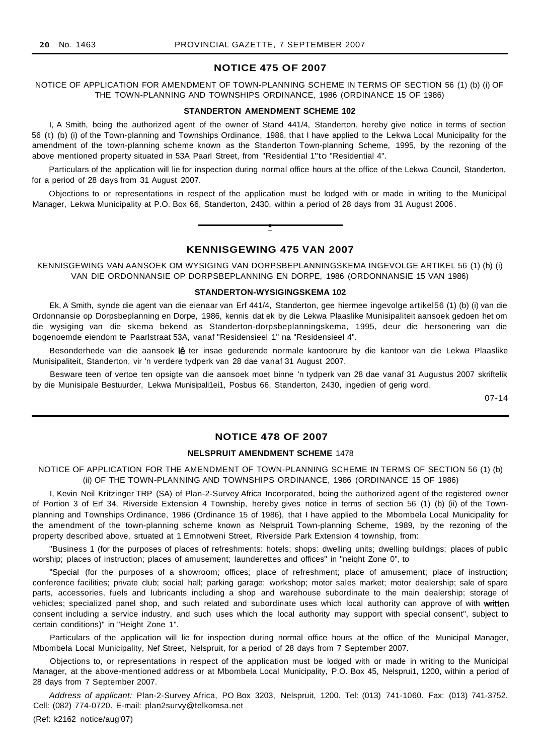# **NOTICE 475 OF 2007**

NOTICE OF APPLICATION FOR AMENDMENT OF TOWN-PLANNING SCHEME IN TERMS OF SECTION 56 (1) (b) (i) OF THE TOWN-PLANNING AND TOWNSHIPS ORDINANCE, 1986 (ORDINANCE 15 OF 1986)

#### **STANDERTON AMENDMENT SCHEME 102**

I, A Smith, being the authorized agent of the owner of Stand 441/4, Standerton, hereby give notice in terms of section 56 (t) (b) (i) of the Town-planning and Townships Ordinance, 1986, that I have applied to the Lekwa Local Municipality for the amendment of the town-planning scheme known as the Standerton Town-planning Scheme, 1995, by the rezoning of the above mentioned property situated in 53A Paarl Street, from "Residential 1"to "Residential 4".

Particulars of the application will lie for inspection during normal office hours at the office of the Lekwa Council, Standerton, for a period of 28 days from 31 August 2007.

Objections to or representations in respect of the application must be lodged with or made in writing to the Municipal Manager, Lekwa Municipality at P.O. Box 66, Standerton, 2430, within a period of 28 days from 31 August 2006 .



# **KENNISGEWING 475 VAN 2007**

KENNISGEWING VAN AANSOEK OM WYSIGING VAN DORPSBEPLANNINGSKEMA INGEVOLGE ARTIKEL 56 (1) (b) (i) VAN DIE ORDONNANSIE OP DORPSBEPLANNING EN DORPE, 1986 (ORDONNANSIE 15 VAN 1986)

#### **STANDERTON-WYSIGINGSKEMA 102**

Ek, A Smith, synde die agent van die eienaar van Erf 441/4, Standerton, gee hiermee ingevolge artikel56 (1) (b) (i) van die Ordonnansie op Dorpsbeplanning en Dorpe, 1986, kennis dat ek by die Lekwa Plaaslike Munisipaliteit aansoek gedoen het om die wysiging van die skema bekend as Standerton-dorpsbeplanningskema, 1995, deur die hersonering van die bogenoemde eiendom te Paarlstraat 53A, vanaf "Residensieel 1" na "Residensieel 4".

Besonderhede van die aansoek lê ter insae gedurende normale kantoorure by die kantoor van die Lekwa Plaaslike Munisipaliteit, Standerton, vir 'n verdere tydperk van 28 dae vanaf 31 August 2007.

Besware teen of vertoe ten opsigte van die aansoek moet binne 'n tydperk van 28 dae vanaf 31 Augustus 2007 skriftelik by die Munisipale Bestuurder, Lekwa Munisipali1ei1, Posbus 66, Standerton, 2430, ingedien of gerig word.

07-14

## **NOTICE 478 OF 2007**

#### **NELSPRUIT AMENDMENT SCHEME** 1478

NOTICE OF APPLICATION FOR THE AMENDMENT OF TOWN-PLANNING SCHEME IN TERMS OF SECTION 56 (1) (b) (ii) OF THE TOWN-PLANNING AND TOWNSHIPS ORDINANCE, 1986 (ORDINANCE 15 OF 1986)

I, Kevin Neil Kritzinger TRP (SA) of Plan-2-Survey Africa Incorporated, being the authorized agent of the registered owner of Portion 3 of Erf 34, Riverside Extension 4 Township, hereby gives notice in terms of section 56 (1) (b) (ii) of the Townplanning and Townships Ordinance, 1986 (Ordinance 15 of 1986), that I have applied to the Mbombela Local Municipality for the amendment of the town-planning scheme known as Nelsprui1 Town-planning Scheme, 1989, by the rezoning of the property described above, srtuated at 1 Emnotweni Street, Riverside Park Extension 4 township, from:

"Business 1 (for the purposes of places of refreshments: hotels; shops: dwelling units; dwelling buildings; places of public worship; places of instruction; places of amusement; launderettes and offices" in "neiqht Zone 0", to

"Special (for the purposes of a showroom; offices; place of refreshment; place of amusement; place of instruction; conference facilities; private club; social hall; parking garage; workshop; motor sales market; motor dealership; sale of spare parts, accessories, fuels and lubricants including a shop and warehouse subordinate to the main dealership; storage of vehicles; specialized panel shop, and such related and subordinate uses which local authority can approve of with written consent including a service industry, and such uses which the local authority may support with special consent", subject to certain conditions)" in "Height Zone 1".

Particulars of the application will lie for inspection during normal office hours at the office of the Municipal Manager, Mbombela Local Municipality, Nef Street, Nelspruit, for a period of 28 days from 7 September 2007.

Objections to, or representations in respect of the application must be lodged with or made in writing to the Municipal Manager, at the above-mentioned address or at Mbombela Local Municipality, P.O. Box 45, Nelsprui1, 1200, within a period of 28 days from 7 September 2007.

Address of applicant: Plan-2-Survey Africa, PO Box 3203, Nelspruit, 1200. Tel: (013) 741-1060. Fax: (013) 741-3752. Cell: (082) 774-0720. E-mail: plan2survy@telkomsa.net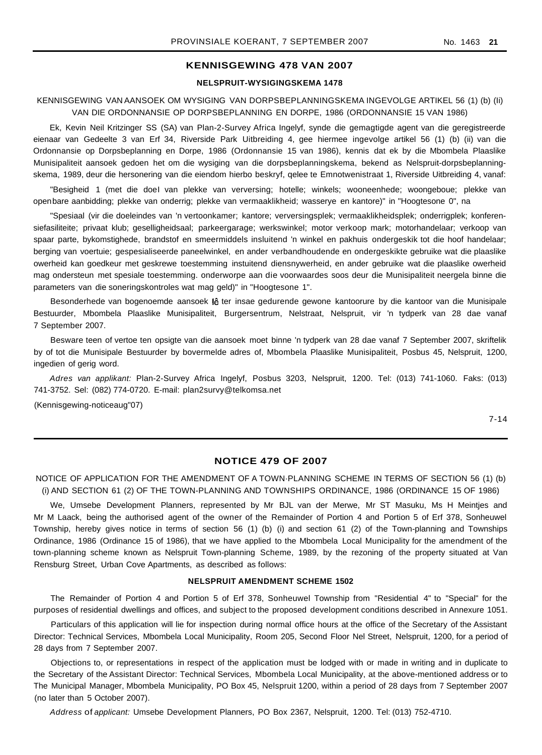# **KENNISGEWING 478 VAN 2007**

#### **NELSPRUIT-WYSIGINGSKEMA 1478**

# KENNISGEWING VAN AANSOEK OM WYSIGING VAN DORPSBEPLANNINGSKEMA INGEVOLGE ARTIKEL 56 (1) (b) (Ii) VAN DIE ORDONNANSIE OP DORPSBEPLANNING EN DORPE, 1986 (ORDONNANSIE 15 VAN 1986)

Ek, Kevin Neil Kritzinger SS (SA) van Plan-2-Survey Africa Ingelyf, synde die gemagtigde agent van die geregistreerde eienaar van Gedeelte 3 van Erf 34, Riverside Park Uitbreiding 4, gee hiermee ingevolge artikel 56 (1) (b) (ii) van die Ordonnansie op Dorpsbeplanning en Dorpe, 1986 (Ordonnansie 15 van 1986), kennis dat ek by die Mbombela Plaaslike Munisipaliteit aansoek gedoen het om die wysiging van die dorpsbeplanningskema, bekend as Nelspruit-dorpsbeplanningskema, 1989, deur die hersonering van die eiendom hierbo beskryf, qelee te Emnotwenistraat 1, Riverside Uitbreiding 4, vanaf:

"Besigheid 1 (met die doeI van plekke van verversing; hotelle; winkels; wooneenhede; woongeboue; plekke van openbare aanbidding; plekke van onderrig; plekke van vermaaklikheid; wasserye en kantore)" in "Hoogtesone 0", na

"Spesiaal (vir die doeleindes van 'n vertoonkamer; kantore; verversingsplek; vermaaklikheidsplek; onderrigplek; konferensiefasiliteite; privaat klub; geselligheidsaal; parkeergarage; werkswinkel; motor verkoop mark; motorhandelaar; verkoop van spaar parte, bykomstighede, brandstof en smeermiddels insluitend 'n winkel en pakhuis ondergeskik tot die hoof handelaar; berging van voertuie; gespesialiseerde paneelwinkel, en ander verbandhoudende en ondergeskikte gebruike wat die plaaslike owerheid kan goedkeur met geskrewe toestemming instuitend diensnywerheid, en ander gebruike wat die plaaslike owerheid mag ondersteun met spesiale toestemming. onderworpe aan die voorwaardes soos deur die Munisipaliteit neergela binne die parameters van die soneringskontroles wat mag geld)" in "Hoogtesone 1".

Besonderhede van bogenoemde aansoek lê ter insae gedurende gewone kantoorure by die kantoor van die Munisipale Bestuurder, Mbombela Plaaslike Munisipaliteit, Burgersentrum, Nelstraat, Nelspruit, vir 'n tydperk van 28 dae vanaf 7 September 2007.

Besware teen of vertoe ten opsigte van die aansoek moet binne 'n tydperk van 28 dae vanaf 7 September 2007, skriftelik by of tot die Munisipale Bestuurder by bovermelde adres of, Mbombela Plaaslike Munisipaliteit, Posbus 45, Nelspruit, 1200, ingedien of gerig word.

Adres van applikant: Plan-2-Survey Africa Ingelyf, Posbus 3203, Nelspruit, 1200. Tel: (013) 741-1060. Faks: (013) 741-3752. Sel: (082) 774-0720. E-mail: plan2survy@telkomsa.net

(Kennisgewing-noticeaug"07)

7-14

#### **NOTICE 479 OF 2007**

NOTICE OF APPLICATION FOR THE AMENDMENT OF A TOWN·PLANNING SCHEME IN TERMS OF SECTION 56 (1) (b) (i) AND SECTION 61 (2) OF THE TOWN-PLANNING AND TOWNSHIPS ORDINANCE, 1986 (ORDINANCE 15 OF 1986)

We, Umsebe Development Planners, represented by Mr BJL van der Merwe, Mr ST Masuku, Ms H Meintjes and Mr M Laack, being the authorised agent of the owner of the Remainder of Portion 4 and Portion 5 of Erf 378, Sonheuwel Township, hereby gives notice in terms of section 56 (1) (b) (i) and section 61 (2) of the Town-planning and Townships Ordinance, 1986 (Ordinance 15 of 1986), that we have applied to the Mbombela Local Municipality for the amendment of the town-planning scheme known as Nelspruit Town-planning Scheme, 1989, by the rezoning of the property situated at Van Rensburg Street, Urban Cove Apartments, as described as follows:

# **NELSPRUIT AMENDMENT SCHEME 1502**

The Remainder of Portion 4 and Portion 5 of Erf 378, Sonheuwel Township from "Residential 4" to "Special" for the purposes of residential dwellings and offices, and subject to the proposed development conditions described in Annexure 1051.

Particulars of this application will lie for inspection during normal office hours at the office of the Secretary of the Assistant Director: Technical Services, Mbombela Local Municipality, Room 205, Second Floor Nel Street, Nelspruit, 1200, for a period of 28 days from 7 September 2007.

Objections to, or representations in respect of the application must be lodged with or made in writing and in duplicate to the Secretary of the Assistant Director: Technical Services, Mbombela Local Municipality, at the above-mentioned address or to The Municipal Manager, Mbombela Municipality, PO Box 45, Nelspruit 1200, within a period of 28 days from 7 September 2007 (no later than 5 October 2007).

Address of applicant: Umsebe Development Planners, PO Box 2367, Nelspruit, 1200. Tel: (013) 752-4710.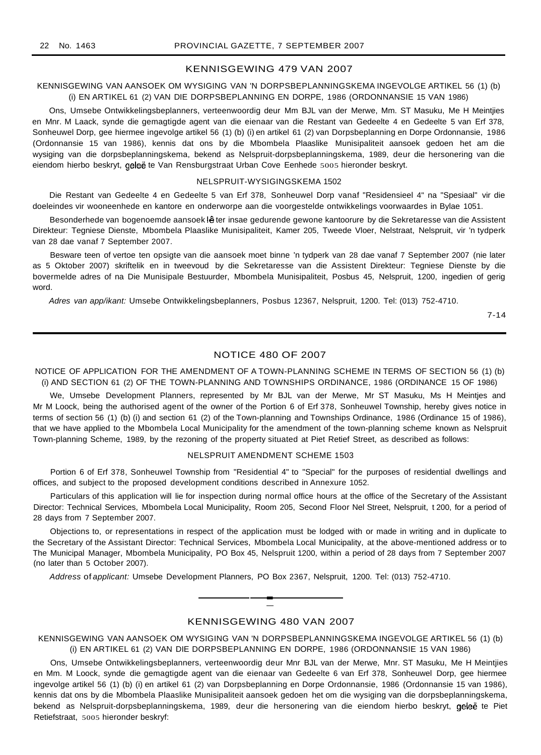# KENNISGEWING 479 VAN 2007

# KENNISGEWING VAN AANSOEK OM WYSIGING VAN 'N DORPSBEPLANNINGSKEMA INGEVOLGE ARTIKEL 56 (1) (b) (i) EN ARTIKEL 61 (2) VAN DIE DORPSBEPLANNING EN DORPE, 1986 (ORDONNANSIE 15 VAN 1986)

Ons, Umsebe Ontwikkelingsbeplanners, verteenwoordig deur Mm BJL van der Merwe, Mm. ST Masuku, Me H Meintjies en Mnr. M Laack, synde die gemagtigde agent van die eienaar van die Restant van Gedeelte 4 en Gedeelte 5 van Erf 378, Sonheuwel Dorp, gee hiermee ingevolge artikel 56 (1) (b) (i) en artikel 61 (2) van Dorpsbeplanning en Dorpe Ordonnansie, 1986 (Ordonnansie 15 van 1986), kennis dat ons by die Mbombela Plaaslike Munisipaliteit aansoek gedoen het am die wysiging van die dorpsbeplanningskema, bekend as Nelspruit-dorpsbeplanningskema, 1989, deur die hersonering van die eiendom hierbo beskryt, geleë te Van Rensburgstraat Urban Cove Eenhede 5005 hieronder beskryt.

#### NELSPRUIT-WYSIGINGSKEMA 1502

Die Restant van Gedeelte 4 en Gedeelte 5 van Erf 378, Sonheuwel Dorp vanaf "Residensieel 4" na "Spesiaal" vir die doeleindes vir wooneenhede en kantore en onderworpe aan die voorgestelde ontwikkelings voorwaardes in Bylae 1051.

Besonderhede van bogenoemde aansoek lê ter insae gedurende gewone kantoorure by die Sekretaresse van die Assistent Direkteur: Tegniese Dienste, Mbombela Plaaslike Munisipaliteit, Kamer 205, Tweede Vloer, Nelstraat, Nelspruit, vir 'n tydperk van 28 dae vanaf 7 September 2007.

Besware teen of vertoe ten opsigte van die aansoek moet binne 'n tydperk van 28 dae vanaf 7 September 2007 (nie later as 5 Oktober 2007) skriftelik en in tweevoud by die Sekretaresse van die Assistent Direkteur: Tegniese Dienste by die bovermelde adres of na Die Munisipale Bestuurder, Mbombela Munisipaliteit, Posbus 45, Nelspruit, 1200, ingedien of gerig word.

Adres van app/ikant: Umsebe Ontwikkelingsbeplanners, Posbus 12367, Nelspruit, 1200. Tel: (013) 752-4710.

7-14

#### NOTICE 480 OF 2007

NOTICE OF APPLICATION FOR THE AMENDMENT OF A TOWN-PLANNING SCHEME IN TERMS OF SECTION 56 (1) (b) (i) AND SECTION 61 (2) OF THE TOWN-PLANNING AND TOWNSHIPS ORDINANCE, 1986 (ORDINANCE 15 OF 1986)

We, Umsebe Development Planners, represented by Mr BJL van der Merwe, Mr ST Masuku, Ms H Meintjes and Mr M Loock, being the authorised agent of the owner of the Portion 6 of Erf 378, Sonheuwel Township, hereby gives notice in terms of section 56 (1) (b) (i) and section 61 (2) of the Town-planning and Townships Ordinance, 1986 (Ordinance 15 of 1986), that we have applied to the Mbombela Local Municipality for the amendment of the town-planning scheme known as Nelspruit Town-planning Scheme, 1989, by the rezoning of the property situated at Piet Retief Street, as described as follows:

#### NELSPRUIT AMENDMENT SCHEME 1503

Portion 6 of Erf 378, Sonheuwel Township from "Residential 4" to "Special" for the purposes of residential dwellings and offices, and subject to the proposed development conditions described in Annexure 1052.

Particulars of this application will lie for inspection during normal office hours at the office of the Secretary of the Assistant Director: Technical Services, Mbombela Local Municipality, Room 205, Second Floor Nel Street, Nelspruit, t 200, for a period of 28 days from 7 September 2007.

Objections to, or representations in respect of the application must be lodged with or made in writing and in duplicate to the Secretary of the Assistant Director: Technical Services, Mbombela Local Municipality, at the above-mentioned address or to The Municipal Manager, Mbombela Municipality, PO Box 45, Nelspruit 1200, within a period of 28 days from 7 September 2007 (no later than 5 October 2007).

Address of applicant: Umsebe Development Planners, PO Box 2367, Nelspruit, 1200. Tel: (013) 752-4710.

# KENNISGEWING 480 VAN 2007

**-**

KENNISGEWING VAN AANSOEK OM WYSIGING VAN 'N DORPSBEPLANNINGSKEMA INGEVOLGE ARTIKEL 56 (1) (b) (i) EN ARTIKEL 61 (2) VAN DIE DORPSBEPLANNING EN DORPE, 1986 (ORDONNANSIE 15 VAN 1986)

Ons, Umsebe Ontwikkelingsbeplanners, verteenwoordig deur Mnr BJL van der Merwe, Mnr. ST Masuku, Me H Meintjies en Mm. M Loock, synde die gemagtigde agent van die eienaar van Gedeelte 6 van Erf 378, Sonheuwel Dorp, gee hiermee ingevolge artikel 56 (1) (b) (i) en artikel 61 (2) van Dorpsbeplanning en Dorpe Ordonnansie, 1986 (Ordonnansie 15 van 1986), kennis dat ons by die Mbombela Plaaslike Munisipaliteit aansoek gedoen het om die wysiging van die dorpsbeplanningskema, bekend as Nelspruit-dorpsbeplanningskema, 1989, deur die hersonering van die eiendom hierbo beskryt, geleë te Piet Retiefstraat, 5005 hieronder beskryf: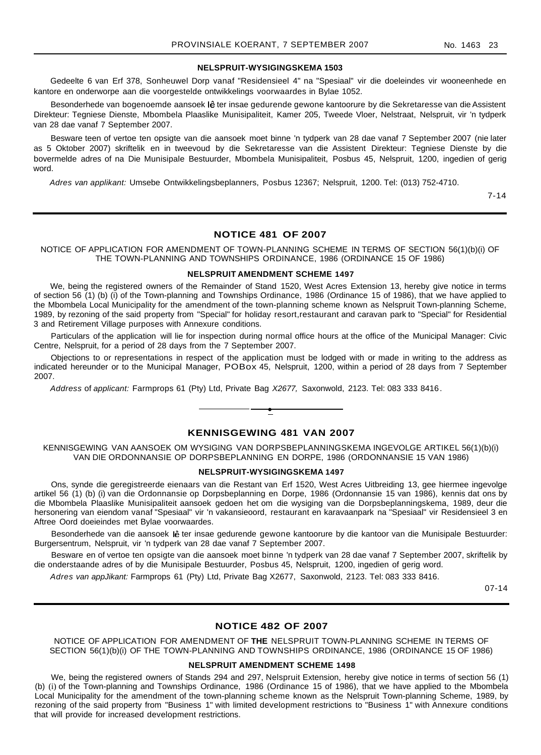#### **NELSPRUIT-WYSIGINGSKEMA 1503**

Gedeelte 6 van Erf 378, Sonheuwel Dorp vanaf "Residensieel 4" na "Spesiaal" vir die doeleindes vir wooneenhede en kantore en onderworpe aan die voorgestelde ontwikkelings voorwaardes in Bylae 1052.

Besonderhede van bogenoemde aansoek lê ter insae gedurende gewone kantoorure by die Sekretaresse van die Assistent Direkteur: Tegniese Dienste, Mbombela Plaaslike Munisipaliteit, Kamer 205, Tweede Vloer, Nelstraat, Nelspruit, vir 'n tydperk van 28 dae vanaf 7 September 2007.

Besware teen of vertoe ten opsigte van die aansoek moet binne 'n tydperk van 28 dae vanaf 7 September 2007 (nie later as 5 Oktober 2007) skriftelik en in tweevoud by die Sekretaresse van die Assistent Direkteur: Tegniese Dienste by die bovermelde adres of na Die Munisipale Bestuurder, Mbombela Munisipaliteit, Posbus 45, Nelspruit, 1200, ingedien of gerig word.

Adres van applikant: Umsebe Ontwikkelingsbeplanners, Posbus 12367; Nelspruit, 1200. Tel: (013) 752-4710.

7-14

# **NOTICE 481 OF 2007**

NOTICE OF APPLICATION FOR AMENDMENT OF TOWN-PLANNING SCHEME IN TERMS OF SECTION 56(1)(b)(i) OF THE TOWN-PLANNING AND TOWNSHIPS ORDINANCE, 1986 (ORDINANCE 15 OF 1986)

#### **NELSPRUIT AMENDMENT SCHEME 1497**

We, being the registered owners of the Remainder of Stand 1520, West Acres Extension 13, hereby give notice in terms of section 56 (1) (b) (i) of the Town-planning and Townships Ordinance, 1986 (Ordinance 15 of 1986), that we have applied to the Mbombela Local Municipality for the amendment of the town-planning scheme known as Nelspruit Town-planning Scheme, 1989, by rezoning of the said property from "Special" for holiday resort,restaurant and caravan park to "Special" for Residential 3 and Retirement Village purposes with Annexure conditions.

Particulars of the application will lie for inspection during normal office hours at the office of the Municipal Manager: Civic Centre, Nelspruit, for a period of 28 days from the 7 September 2007.

Objections to or representations in respect of the application must be lodged with or made in writing to the address as indicated hereunder or to the Municipal Manager, POBox 45, Nelspruit, 1200, within a period of 28 days from 7 September 2007.

Address of applicant: Farmprops 61 (Pty) Ltd, Private Bag X2677, Saxonwold, 2123. Tel: 083 333 8416.



**•**

KENNISGEWING VAN AANSOEK OM WYSIGING VAN DORPSBEPLANNINGSKEMA INGEVOLGE ARTIKEL 56(1)(b)(i) VAN DIE ORDONNANSIE OP DORPSBEPLANNING EN DORPE, 1986 (ORDONNANSIE 15 VAN 1986)

#### **NELSPRUIT-WYSIGINGSKEMA 1497**

Ons, synde die geregistreerde eienaars van die Restant van Erf 1520, West Acres Uitbreiding 13, gee hiermee ingevolge artikel 56 (1) (b) (i) van die Ordonnansie op Dorpsbeplanning en Dorpe, 1986 (Ordonnansie 15 van 1986), kennis dat ons by die Mbombela Plaaslike Munisipaliteit aansoek gedoen het om die wysiging van die Dorpsbeplanningskema, 1989, deur die hersonering van eiendom vanaf "Spesiaal" vir 'n vakansieoord, restaurant en karavaanpark na "Spesiaal" vir Residensieel 3 en Aftree Oord doeieindes met Bylae voorwaardes.

Besonderhede van die aansoek lê ter insae gedurende gewone kantoorure by die kantoor van die Munisipale Bestuurder: Burgersentrum, Nelspruit, vir 'n tydperk van 28 dae vanaf 7 September 2007.

Besware en of vertoe ten opsigte van die aansoek moet binne 'n tydperk van 28 dae vanaf 7 September 2007, skriftelik by die onderstaande adres of by die Munisipale Bestuurder, Posbus 45, Nelspruit, 1200, ingedien of gerig word.

Adres van appJikant: Farmprops 61 (Pty) Ltd, Private Bag X2677, Saxonwold, 2123. Tel: 083 333 8416.

07-14

#### **NOTICE 482 OF 2007**

NOTICE OF APPLICATION FOR AMENDMENT OF **THE** NELSPRUIT TOWN-PLANNING SCHEME IN TERMS OF SECTION 56(1)(b)(i) OF THE TOWN-PLANNING AND TOWNSHIPS ORDINANCE, 1986 (ORDINANCE 15 OF 1986)

#### **NELSPRUIT AMENDMENT SCHEME 1498**

We, being the registered owners of Stands 294 and 297, Nelspruit Extension, hereby give notice in terms of section 56 (1) (b) (i) of the Town-planning and Townships Ordinance, 1986 (Ordinance 15 of 1986), that we have applied to the Mbombela Local Municipality for the amendment of the town-planning scheme known as the Nelspruit Town-planning Scheme, 1989, by rezoning of the said property from "Business 1" with limited development restrictions to "Business 1" with Annexure conditions that will provide for increased development restrictions.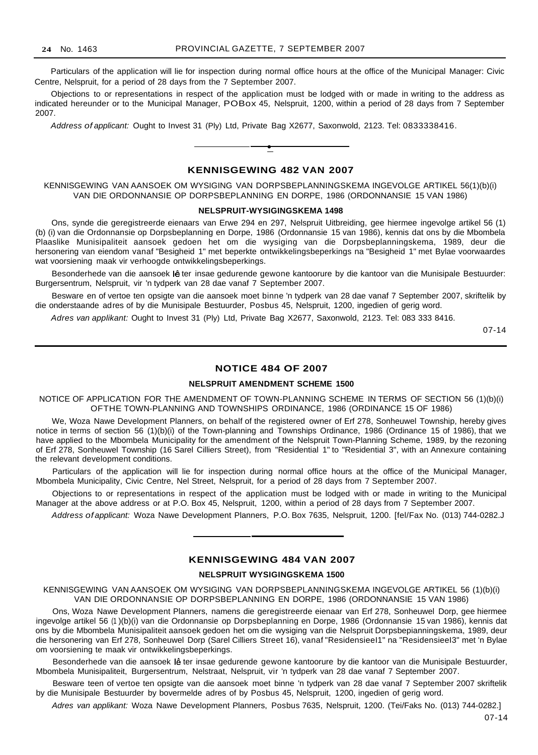Particulars of the application will lie for inspection during normal office hours at the office of the Municipal Manager: Civic Centre, Nelspruit, for a period of 28 days from the 7 September 2007.

Objections to or representations in respect of the application must be lodged with or made in writing to the address as indicated hereunder or to the Municipal Manager, POBox 45, Nelspruit, 1200, within a period of 28 days from 7 September 2007.

Address of applicant: Ought to Invest 31 (Ply) Ltd, Private Bag X2677, Saxonwold, 2123. Tel: 0833338416.



**•**

KENNISGEWING VAN AANSOEK OM WYSIGING VAN DORPSBEPLANNINGSKEMA INGEVOLGE ARTIKEL 56(1)(b)(i) VAN DIE ORDONNANSIE OP DORPSBEPLANNING EN DORPE, 1986 (ORDONNANSIE 15 VAN 1986)

#### **NELSPRUIT-WYSIGINGSKEMA 1498**

Ons, synde die geregistreerde eienaars van Erwe 294 en 297, Nelspruit Uitbreiding, gee hiermee ingevolge artikel 56 (1) (b) (i) van die Ordonnansie op Dorpsbeplanning en Dorpe, 1986 (Ordonnansie 15 van 1986), kennis dat ons by die Mbombela Plaaslike Munisipaliteit aansoek gedoen het om die wysiging van die Dorpsbeplanningskema, 1989, deur die hersonering van eiendom vanaf "Besigheid 1" met beperkte ontwikkelingsbeperkings na "Besigheid 1" met Bylae voorwaardes wat voorsiening maak vir verhoogde ontwikkelingsbeperkings.

Besonderhede van die aansoek lê ter insae gedurende gewone kantoorure by die kantoor van die Munisipale Bestuurder: Burgersentrum, Nelspruit, vir 'n tydperk van 28 dae vanaf 7 September 2007.

Besware en of vertoe ten opsigte van die aansoek moet binne 'n tydperk van 28 dae vanaf 7 September 2007, skriftelik by die onderstaande adres of by die Munisipale Bestuurder, Posbus 45, Nelspruit, 1200, ingedien of gerig word.

Adres van applikant: Ought to Invest 31 (Ply) Ltd, Private Bag X2677, Saxonwold, 2123. Tel: 083 333 8416.

07-14

#### **NOTICE 484 OF 2007**

# **NELSPRUIT AMENDMENT SCHEME 1500**

NOTICE OF APPLICATION FOR THE AMENDMENT OF TOWN-PLANNING SCHEME IN TERMS OF SECTION 56 (1)(b)(i) OFTHE TOWN-PLANNING AND TOWNSHIPS ORDINANCE, 1986 (ORDINANCE 15 OF 1986)

We, Woza Nawe Development Planners, on behalf of the registered owner of Erf 278, Sonheuwel Township, hereby gives notice in terms of section 56 (1)(b)(i) of the Town-planning and Townships Ordinance, 1986 (Ordinance 15 of 1986), that we have applied to the Mbombela Municipality for the amendment of the Nelspruit Town-Planning Scheme, 1989, by the rezoning of Erf 278, Sonheuwel Township (16 Sarel Cilliers Street), from "Residential 1" to "Residential 3", with an Annexure containing the relevant development conditions.

Particulars of the application will lie for inspection during normal office hours at the office of the Municipal Manager, Mbombela Municipality, Civic Centre, Nel Street, Nelspruit, for a period of 28 days from 7 September 2007.

Objections to or representations in respect of the application must be lodged with or made in writing to the Municipal Manager at the above address or at P.O. Box 45, Nelspruit, 1200, within a period of 28 days from 7 September 2007.

Address of applicant: Woza Nawe Development Planners, P.O. Box 7635, Nelspruit, 1200. [fel/Fax No. (013) 744-0282.J

# **KENNISGEWING 484 VAN 2007**

#### **NELSPRUIT WYSIGINGSKEMA 1500**

KENNISGEWING VAN AANSOEK OM WYSIGING VAN DORPSBEPLANNINGSKEMA INGEVOLGE ARTIKEL 56 (1)(b)(i) VAN DIE ORDONNANSIE OP DORPSBEPLANNING EN DORPE, 1986 (ORDONNANSIE 15 VAN 1986)

Ons, Woza Nawe Development Planners, namens die geregistreerde eienaar van Erf 278, Sonheuwel Dorp, gee hiermee ingevolge artikel 56 (1 )(b)(i) van die Ordonnansie op Dorpsbeplanning en Dorpe, 1986 (Ordonnansie 15 van 1986), kennis dat ons by die Mbombela Munisipaliteit aansoek gedoen het om die wysiging van die Nelspruit Dorpsbepianningskema, 1989, deur die hersonering van Erf 278, Sonheuwel Dorp (Sarel Cilliers Street 16), vanaf "ResidensieeI1" na "ResidensieeI3" met 'n Bylae om voorsiening te maak vir ontwikkelingsbeperkings.

Besonderhede van die aansoek lê ter insae gedurende gewone kantoorure by die kantoor van die Munisipale Bestuurder, Mbombela Munisipaliteit, Burgersentrum, Nelstraat, Nelspruit, vir 'n tydperk van 28 dae vanaf 7 September 2007.

Besware teen of vertoe ten opsigte van die aansoek moet binne 'n tydperk van 28 dae vanaf 7 September 2007 skriftelik by die Munisipale Bestuurder by bovermelde adres of by Posbus 45, Nelspruit, 1200, ingedien of gerig word.

Adres van applikant: Woza Nawe Development Planners, Posbus 7635, Nelspruit, 1200. (Tei/Faks No. (013) 744-0282.]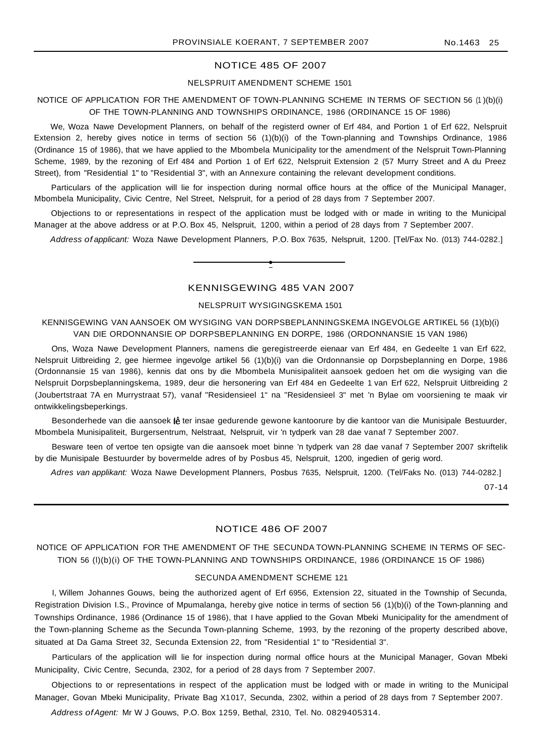#### NOTICE 485 OF 2007

#### NELSPRUIT AMENDMENT SCHEME 1501

# NOTICE OF APPLICATION FOR THE AMENDMENT OF TOWN-PLANNING SCHEME IN TERMS OF SECTION 56 (1 )(b)(i) OF THE TOWN-PLANNING AND TOWNSHIPS ORDINANCE, 1986 (ORDINANCE 15 OF 1986)

We, Woza Nawe Development Planners, on behalf of the registerd owner of Erf 484, and Portion 1 of Erf 622, Nelspruit Extension 2, hereby gives notice in terms of section 56 (1)(b)(i) of the Town-planning and Townships Ordinance, 1986 (Ordinance 15 of 1986), that we have applied to the Mbombela Municipality tor the amendment of the Nelspruit Town-Planning Scheme, 1989, by the rezoning of Erf 484 and Portion 1 of Erf 622, Nelspruit Extension 2 (57 Murry Street and A du Preez Street), from "Residential 1" to "Residential 3", with an Annexure containing the relevant development conditions.

Particulars of the application will lie for inspection during normal office hours at the office of the Municipal Manager, Mbombela Municipality, Civic Centre, Nel Street, Nelspruit, for a period of 28 days from 7 September 2007.

Objections to or representations in respect of the application must be lodged with or made in writing to the Municipal Manager at the above address or at P.O. Box 45, Nelspruit, 1200, within a period of 28 days from 7 September 2007.

Address of applicant: Woza Nawe Development Planners, P.O. Box 7635, Nelspruit, 1200. [Tel/Fax No. (013) 744-0282.]

# KENNISGEWING 485 VAN 2007

**•**

## NELSPRUIT WYSIGINGSKEMA 1501

# KENNISGEWING VAN AANSOEK OM WYSIGING VAN DORPSBEPLANNINGSKEMA INGEVOLGE ARTIKEL 56 (1)(b)(i) VAN DIE ORDONNANSIE OP DORPSBEPLANNING EN DORPE, 1986 (ORDONNANSIE 15 VAN 1986)

Ons, Woza Nawe Development Planners, namens die geregistreerde eienaar van Erf 484, en Gedeelte 1 van Erf 622, Nelspruit Uitbreiding 2, gee hiermee ingevolge artikel 56 (1)(b)(i) van die Ordonnansie op Dorpsbeplanning en Dorpe, 1986 (Ordonnansie 15 van 1986), kennis dat ons by die Mbombela Munisipaliteit aansoek gedoen het om die wysiging van die Nelspruit Dorpsbeplanningskema, 1989, deur die hersonering van Erf 484 en Gedeelte 1 van Erf 622, Nelspruit Uitbreiding 2 (Joubertstraat 7A en Murrystraat 57), vanaf "Residensieel 1" na "Residensieel 3" met 'n Bylae om voorsiening te maak vir ontwikkelingsbeperkings.

Besonderhede van die aansoek lê ter insae gedurende gewone kantoorure by die kantoor van die Munisipale Bestuurder, Mbombela Munisipaliteit, Burgersentrum, Nelstraat, Nelspruit, vir 'n tydperk van 28 dae vanaf 7 September 2007.

Besware teen of vertoe ten opsigte van die aansoek moet binne 'n tydperk van 28 dae vanaf 7 September 2007 skriftelik by die Munisipale Bestuurder by bovermelde adres of by Posbus 45, Nelspruit, 1200, ingedien of gerig word.

Adres van applikant: Woza Nawe Development Planners, Posbus 7635, Nelspruit, 1200. (Tel/Faks No. (013) 744-0282.]

07-14

#### NOTICE 486 OF 2007

# NOTICE OF APPLICATION FOR THE AMENDMENT OF THE SECUNDA TOWN-PLANNING SCHEME IN TERMS OF SEC-TION 56 (l)(b)(i) OF THE TOWN-PLANNING AND TOWNSHIPS ORDINANCE, 1986 (ORDINANCE 15 OF 1986)

#### SECUNDA AMENDMENT SCHEME 121

I, Willem Johannes Gouws, being the authorized agent of Erf 6956, Extension 22, situated in the Township of Secunda, Registration Division I.S., Province of Mpumalanga, hereby give notice in terms of section 56 (1)(b)(i) of the Town-planning and Townships Ordinance, 1986 (Ordinance 15 of 1986), that I have applied to the Govan Mbeki Municipality for the amendment of the Town-planning Scheme as the Secunda Town-planning Scheme, 1993, by the rezoning of the property described above, situated at Da Gama Street 32, Secunda Extension 22, from "Residential 1" to "Residential 3".

Particulars of the application will lie for inspection during normal office hours at the Municipal Manager, Govan Mbeki Municipality, Civic Centre, Secunda, 2302, for a period of 28 days from 7 September 2007.

Objections to or representations in respect of the application must be lodged with or made in writing to the Municipal Manager, Govan Mbeki Municipality, Private Bag X1017, Secunda, 2302, within a period of 28 days from 7 September 2007.

Address ofAgent: Mr W J Gouws, P.O. Box 1259, Bethal, 2310, Tel. No. 0829405314.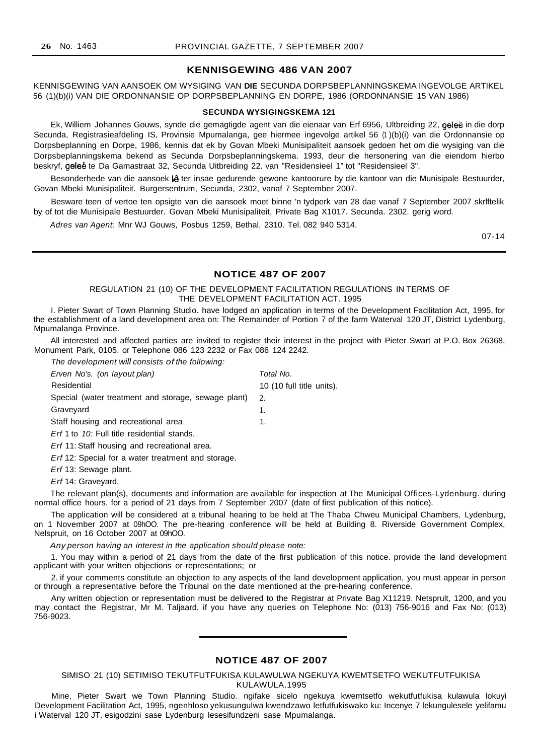# **KENNISGEWING 486 VAN 2007**

KENNISGEWING VAN AANSOEK OM WYSIGING VAN **DIE** SECUNDA DORPSBEPLANNINGSKEMA INGEVOLGE ARTIKEL 56 (1)(b)(i) VAN DIE ORDONNANSIE OP DORPSBEPLANNING EN DORPE, 1986 (ORDONNANSIE 15 VAN 1986)

#### **SECUNDA WYSIGINGSKEMA 121**

Ek, Williem Johannes Gouws, synde die gemagtigde agent van die eienaar van Erf 6956, Ultbreiding 22, geleë in die dorp Secunda, Registrasieafdeling IS, Provinsie Mpumalanga, gee hiermee ingevolge artikel 56 (1 )(b)(i) van die Ordonnansie op Dorpsbeplanning en Dorpe, 1986, kennis dat ek by Govan Mbeki Munisipaliteit aansoek gedoen het om die wysiging van die Dorpsbeplanningskema bekend as Secunda Dorpsbeplanningskema. 1993, deur die hersonering van die eiendom hierbo beskryf, geleë te Da Gamastraat 32, Secunda Uitbreiding 22. van "Residensieel 1" tot "Residensieel 3".

Besonderhede van die aansoek lê ter insae gedurende gewone kantoorure by die kantoor van die Munisipale Bestuurder, Govan Mbeki Munisipaliteit. Burgersentrum, Secunda, 2302, vanaf 7 September 2007.

Besware teen of vertoe ten opsigte van die aansoek moet binne 'n tydperk van 28 dae vanaf 7 September 2007 skrlftelik by of tot die Munisipale Bestuurder. Govan Mbeki Munisipaliteit, Private Bag X1017. Secunda. 2302. gerig word.

Adres van Agent: Mnr WJ Gouws, Posbus 1259, Bethal, 2310. Tel. 082 940 5314.

07-14

#### **NOTICE 487 OF 2007**

REGULATION 21 (10) OF THE DEVELOPMENT FACILITATION REGULATIONS IN TERMS OF THE DEVELOPMENT FACILITATION ACT. 1995

I. Pieter Swart of Town Planning Studio. have lodged an application in terms of the Development Facilitation Act, 1995, for the establishment of a land development area on: The Remainder of Portion 7 of the farm Waterval 120 JT, District Lydenburg, Mpumalanga Province.

All interested and affected parties are invited to register their interest in the project with Pieter Swart at P.O. Box 26368, Monument Park, 0105. or Telephone 086 123 2232 or Fax 086 124 2242.

| The development will consists of the following:     |                           |
|-----------------------------------------------------|---------------------------|
| Erven No's. (on layout plan)                        | Total No.                 |
| Residential                                         | 10 (10 full title units). |
| Special (water treatment and storage, sewage plant) | 2.                        |
| Graveyard                                           | 1.                        |
| Staff housing and recreational area                 | 1.                        |
| <i>Erf</i> 1 to 10: Full title residential stands.  |                           |
| Erf 11: Staff housing and recreational area.        |                           |

Erf 12: Special for a water treatment and storage.

Erf 13: Sewage plant.

Erf 14: Graveyard.

The relevant plan(s), documents and information are available for inspection at The Municipal Offices-Lydenburg. during normal office hours. for a period of 21 days from 7 September 2007 (date of first publication of this notice).

The application will be considered at a tribunal hearing to be held at The Thaba Chweu Municipal Chambers, Lydenburg, on 1 November 2007 at 09hOO. The pre-hearing conference will be held at Building 8. Riverside Government Complex, Nelspruit, on 16 October 2007 at 09hOO.

Any person having an interest in the application should please note:

1. You may within a period of 21 days from the date of the first publication of this notice. provide the land development applicant with your written objections or representations; or

2. if your comments constitute an objection to any aspects of the land development application, you must appear in person or through a representative before the Tribunal on the date mentioned at the pre-hearing conference.

Any written objection or representation must be delivered to the Registrar at Private Bag X11219. Netsprult, 1200, and you may contact the Registrar, Mr M. Taljaard, if you have any queries on Telephone No: (013) 756-9016 and Fax No: (013) 756-9023.

#### **NOTICE 487 OF 2007**

SIMISO 21 (10) SETIMISO TEKUTFUTFUKISA KULAWULWA NGEKUYA KWEMTSETFO WEKUTFUTFUKISA KULAWULA.1995

Mine, Pieter Swart we Town Planning Studio. ngifake sicelo ngekuya kwemtsetfo wekutfutfukisa kulawula lokuyi Development Facilitation Act, 1995, ngenhloso yekusungulwa kwendzawo letfutfukiswako ku: Incenye 7 lekungulesele yelifamu i Waterval 120 JT. esigodzini sase Lydenburg lesesifundzeni sase Mpumalanga.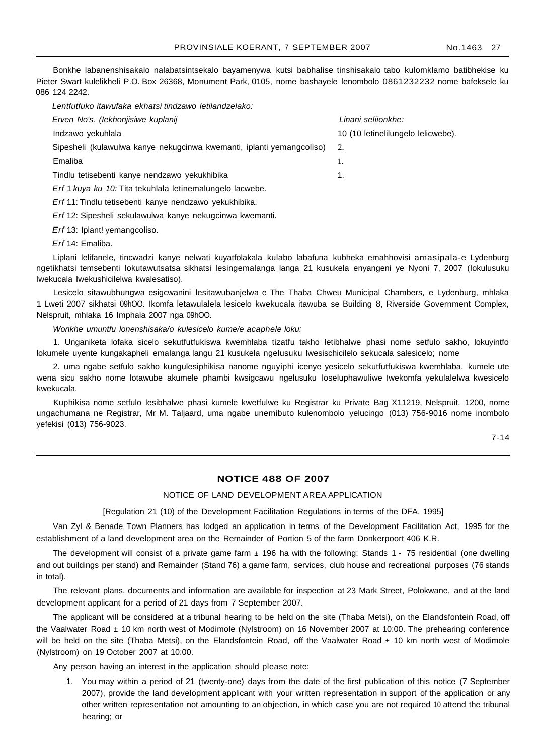Bonkhe labanenshisakalo nalabatsintsekalo bayamenywa kutsi babhalise tinshisakalo tabo kulomklamo batibhekise ku Pieter Swart kulelikheli P.O. Box 26368, Monument Park, 0105, nome bashayele lenombolo 0861232232 nome bafeksele ku 086 124 2242.

Lentfutfuko itawufaka ekhatsi tindzawo letilandzelako:

| Erven No's. (lekhonjisiwe kuplanij                                                  | Linani seliionkhe:                 |
|-------------------------------------------------------------------------------------|------------------------------------|
| Indzawo yekuhlala                                                                   | 10 (10 letinelilungelo lelicwebe). |
| Sipesheli (kulawulwa kanye nekugcinwa kwemanti, iplanti yemangcoliso)               |                                    |
| Emaliba                                                                             |                                    |
| Tindlu tetisebenti kanye nendzawo yekukhibika                                       | 1.                                 |
| Erf 1 kuya ku 10: Tita tekuhlala letinemalungelo lacwebe.                           |                                    |
| . East A.A., The ellis decline to east. The experiment and experimentally the three |                                    |

Erf 11: Tindlu tetisebenti kanye nendzawo yekukhibika.

Erf 12: Sipesheli sekulawulwa kanye nekugcinwa kwemanti.

Erf 13: Iplant! yemangcoliso.

Erf 14: Emaliba.

Liplani lelifanele, tincwadzi kanye nelwati kuyatfolakala kulabo labafuna kubheka emahhovisi amasipala-e Lydenburg ngetikhatsi temsebenti lokutawutsatsa sikhatsi lesingemalanga langa 21 kusukela enyangeni ye Nyoni 7, 2007 (Iokulusuku Iwekucala Iwekushicilelwa kwalesatiso).

Lesicelo sitawubhungwa esigcwanini lesitawubanjelwa e The Thaba Chweu Municipal Chambers, e Lydenburg, mhlaka 1 Lweti 2007 sikhatsi 09hOO. Ikomfa letawulalela lesicelo kwekucala itawuba se Building 8, Riverside Government Complex, Nelspruit, mhlaka 16 Imphala 2007 nga 09hOO.

Wonkhe umuntfu lonenshisaka/o kulesicelo kume/e acaphele loku:

1. Unganiketa lofaka sicelo sekutfutfukiswa kwemhlaba tizatfu takho letibhalwe phasi nome setfulo sakho, lokuyintfo lokumele uyente kungakapheli emalanga langu 21 kusukela ngelusuku Iwesischicilelo sekucala salesicelo; nome

2. uma ngabe setfulo sakho kungulesiphikisa nanome nguyiphi icenye yesicelo sekutfutfukiswa kwemhlaba, kumele ute wena sicu sakho nome lotawube akumele phambi kwsigcawu ngelusuku loseluphawuliwe Iwekomfa yekulalelwa kwesicelo kwekucala.

Kuphikisa nome setfulo lesibhalwe phasi kumele kwetfulwe ku Registrar ku Private Bag X11219, Nelspruit, 1200, nome ungachumana ne Registrar, Mr M. Taljaard, uma ngabe unemibuto kulenombolo yelucingo (013) 756-9016 nome inombolo yefekisi (013) 756-9023.

7-14

# **NOTICE 488 OF 2007**

#### NOTICE OF LAND DEVELOPMENT AREA APPLICATION

[Regulation 21 (10) of the Development Facilitation Regulations in terms of the DFA, 1995]

Van Zyl & Benade Town Planners has lodged an application in terms of the Development Facilitation Act, 1995 for the establishment of a land development area on the Remainder of Portion 5 of the farm Donkerpoort 406 K.R.

The development will consist of a private game farm  $\pm$  196 ha with the following: Stands 1 - 75 residential (one dwelling and out buildings per stand) and Remainder (Stand 76) a game farm, services, club house and recreational purposes (76 stands in total).

The relevant plans, documents and information are available for inspection at 23 Mark Street, Polokwane, and at the land development applicant for a period of 21 days from 7 September 2007.

The applicant will be considered at a tribunal hearing to be held on the site (Thaba Metsi), on the Elandsfontein Road, off the Vaalwater Road  $\pm$  10 km north west of Modimole (Nylstroom) on 16 November 2007 at 10:00. The prehearing conference will be held on the site (Thaba Metsi), on the Elandsfontein Road, off the Vaalwater Road  $\pm$  10 km north west of Modimole (Nylstroom) on 19 October 2007 at 10:00.

Any person having an interest in the application should please note:

1. You may within a period of 21 (twenty-one) days from the date of the first publication of this notice (7 September 2007), provide the land development applicant with your written representation in support of the application or any other written representation not amounting to an objection, in which case you are not required 10 attend the tribunal hearing; or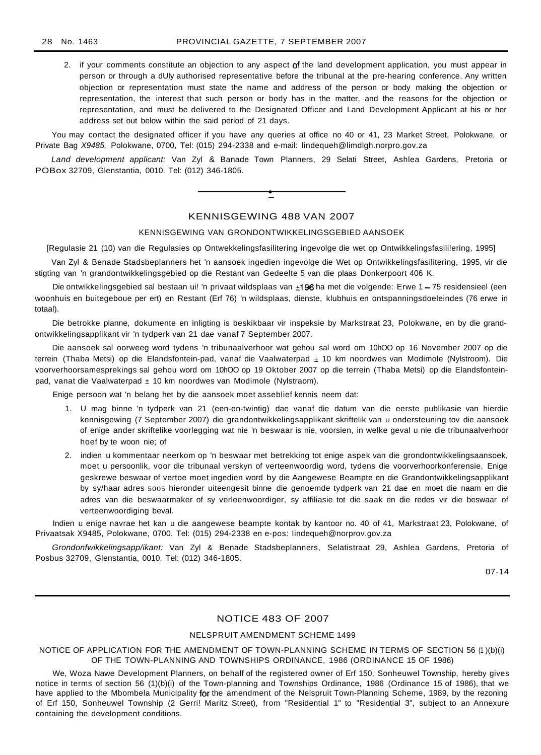2. if your comments constitute an objection to any aspect of the land development application, you must appear in person or through a dUly authorised representative before the tribunal at the pre-hearing conference. Any written objection or representation must state the name and address of the person or body making the objection or representation, the interest that such person or body has in the matter, and the reasons for the objection or representation, and must be delivered to the Designated Officer and Land Development Applicant at his or her address set out below within the said period of 21 days.

You may contact the designated officer if you have any queries at office no 40 or 41, 23 Market Street, Polokwane, or Private Bag X9485, Polokwane, 0700, Tel: (015) 294-2338 and e-mail: lindequeh@limdlgh.norpro.gov.za

Land development applicant: Van Zyl & Banade Town Planners, 29 Selati Street, Ashlea Gardens, Pretoria or POBox 32709, Glenstantia, 0010. Tel: (012) 346-1805.



# KENNISGEWING 488 VAN 2007

#### KENNISGEWING VAN GRONDONTWIKKELINGSGEBIED AANSOEK

[Regulasie 21 (10) van die Regulasies op Ontwekkelingsfasilitering ingevolge die wet op Ontwikkelingsfasili!ering, 1995]

Van Zyl & Benade Stadsbeplanners het 'n aansoek ingedien ingevolge die Wet op Ontwikkelingsfasilitering, 1995, vir die stigting van 'n grandontwikkelingsgebied op die Restant van Gedeelte 5 van die plaas Donkerpoort 406 K.

Die ontwikkelingsgebied sal bestaan ui! 'n privaat wildsplaas van ±196 ha met die volgende: Erwe 1 - 75 residensieel (een woonhuis en buitegeboue per ert) en Restant (Erf 76) 'n wildsplaas, dienste, klubhuis en ontspanningsdoeleindes (76 erwe in totaal).

Die betrokke planne, dokumente en inligting is beskikbaar vir inspeksie by Markstraat 23, Polokwane, en by die grandontwikkelingsapplikant vir 'n tydperk van 21 dae vanaf 7 September 2007.

Die aansoek sal oorweeg word tydens 'n tribunaalverhoor wat gehou sal word om 10hOO op 16 November 2007 op die terrein (Thaba Metsi) op die Elandsfontein-pad, vanaf die Vaalwaterpad ± 10 km noordwes van Modimole (Nylstroom). Die voorverhoorsamesprekings sal gehou word om 10hOO op 19 Oktober 2007 op die terrein (Thaba Metsi) op die Elandsfonteinpad, vanat die Vaalwaterpad ± 10 km noordwes van Modimole (Nylstraom).

Enige persoon wat 'n belang het by die aansoek moet asseblief kennis neem dat:

- 1. U mag binne 'n tydperk van 21 (een-en-twintig) dae vanaf die datum van die eerste publikasie van hierdie kennisgewing (7 September 2007) die grandontwikkelingsapplikant skriftelik van u ondersteuning tov die aansoek of enige ander skriftelike voorlegging wat nie 'n beswaar is nie, voorsien, in welke geval u nie die tribunaalverhoor hoef by te woon nie; of
- 2. indien u kommentaar neerkom op 'n beswaar met betrekking tot enige aspek van die grondontwikkelingsaansoek, moet u persoonlik, voor die tribunaal verskyn of verteenwoordig word, tydens die voorverhoorkonferensie. Enige geskrewe beswaar of vertoe moet ingedien word by die Aangewese Beampte en die Grandontwikkelingsapplikant by sy/haar adres 5005 hieronder uiteengesit binne die genoemde tydperk van 21 dae en moet die naam en die adres van die beswaarmaker of sy verleenwoordiger, sy affiliasie tot die saak en die redes vir die beswaar of verteenwoordiging beval.

Indien u enige navrae het kan u die aangewese beampte kontak by kantoor no. 40 of 41, Markstraat 23, Polokwane, of Privaatsak X9485, Polokwane, 0700. Tel: (015) 294-2338 en e-pos: Iindequeh@norprov.gov.za

Grondonfwikkelingsapp/ikant: Van Zyl & Benade Stadsbeplanners, Selatistraat 29, Ashlea Gardens, Pretoria of Posbus 32709, Glenstantia, 0010. Tel: (012) 346-1805.

07-14

# NOTICE 483 OF 2007

# NELSPRUIT AMENDMENT SCHEME 1499

## NOTICE OF APPLICATION FOR THE AMENDMENT OF TOWN-PLANNING SCHEME IN TERMS OF SECTION 56 (1)(b)(i) OF THE TOWN-PLANNING AND TOWNSHIPS ORDINANCE, 1986 (ORDINANCE 15 OF 1986)

We, Woza Nawe Development Planners, on behalf of the registered owner of Erf 150, Sonheuwel Township, hereby gives notice in terms of section 56 (1)(b)(i) of the Town-planning and Townships Ordinance, 1986 (Ordinance 15 of 1986), that we have applied to the Mbombela Municipality for the amendment of the Nelspruit Town-Planning Scheme, 1989, by the rezoning of Erf 150, Sonheuwel Township (2 Gerri! Maritz Street), from "Residential 1" to "Residential 3", subject to an Annexure containing the development conditions.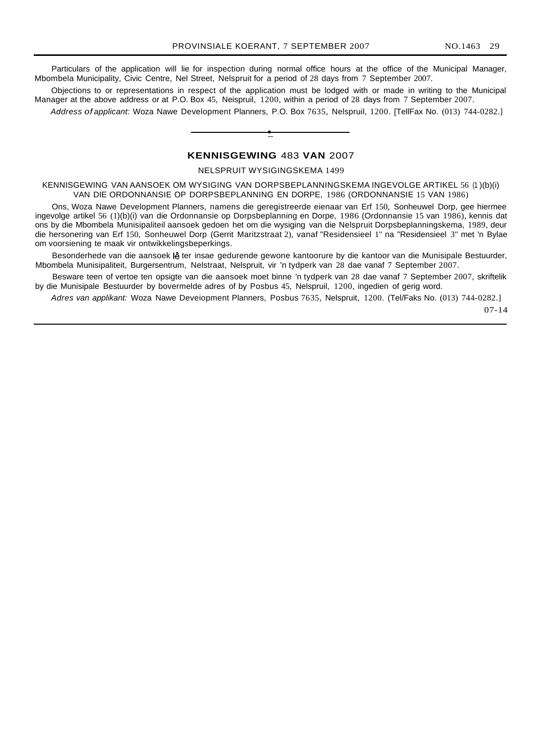Particulars of the application will lie for inspection during normal office hours at the office of the Municipal Manager, Mbombela Municipality, Civic Centre, Nel Street, Nelspruit for a period of 28 days from 7 September 2007.

Objections to or representations in respect of the application must be lodged with or made in writing to the Municipal Manager at the above address or at P.O. Box 45, Neispruil, 1200, within a period of 28 days from 7 September 2007.

Address of applicant: Woza Nawe Development Planners, P.O. Box 7635, Nelspruil, 1200. [TellFax No. (013) 744-0282.]

#### **KENNISGEWING** 483 **VAN** 2007

**•**

NELSPRUIT WYSIGINGSKEMA 1499

KENNISGEWING VAN AANSOEK OM WYSIGING VAN DORPSBEPLANNINGSKEMA INGEVOLGE ARTIKEL 56 (1 )(b)(i) VAN DIE ORDONNANSIE OP DORPSBEPLANNING EN DORPE, 1986 (ORDONNANSIE 15 VAN 1986)

Ons, Woza Nawe Development Planners, namens die geregistreerde eienaar van Erf 150, Sonheuwel Dorp, gee hiermee ingevolge artikel 56 (1)(b)(i) van die Ordonnansie op Dorpsbeplanning en Dorpe, 1986 (Ordonnansie 15 van 1986), kennis dat ons by die Mbombela Munisipaliteil aansoek gedoen het om die wysiging van die Nelspruit Dorpsbeplanningskema, 1989, deur die hersonering van Erf 150, Sonheuwel Dorp (Gerrit Maritzstraat 2), vanaf "Residensieel 1" na "Residensieel 3" met 'n Bylae om voorsiening te maak vir ontwikkelingsbeperkings.

Besonderhede van die aansoek lê ter insae gedurende gewone kantoorure by die kantoor van die Munisipale Bestuurder, Mbombela Munisipaliteit, Burgersentrum, Nelstraat, Nelspruit, vir 'n tydperk van 28 dae vanaf 7 September 2007.

Besware teen of vertoe ten opsigte van die aansoek moet binne 'n tydperk van 28 dae vanaf 7 September 2007, skriftelik by die Munisipale Bestuurder by bovermelde adres of by Posbus 45, Nelspruil, 1200, ingedien of gerig word.

Adres van applikant: Woza Nawe Deveiopment Planners, Posbus 7635, Nelspruit, 1200. (Tel/Faks No. (013) 744-0282.] 07-14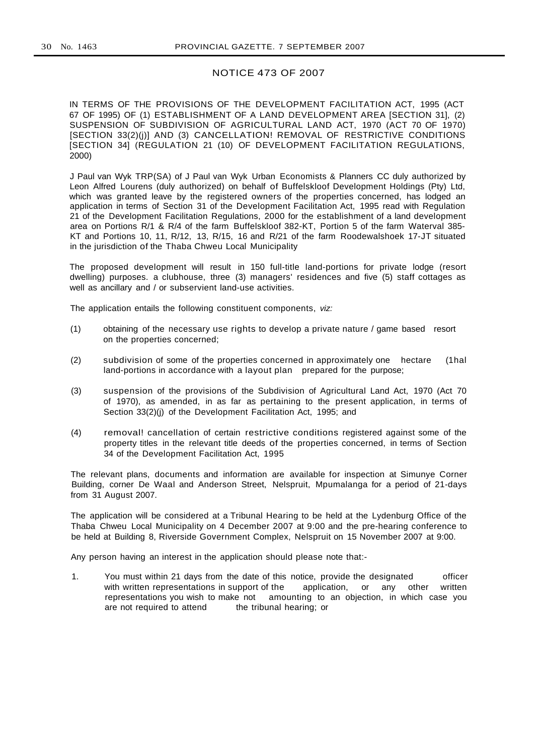#### NOTICE 473 OF 2007

IN TERMS OF THE PROVISIONS OF THE DEVELOPMENT FACILITATION ACT, 1995 (ACT 67 OF 1995) OF (1) ESTABLISHMENT OF A LAND DEVELOPMENT AREA [SECTION 31], (2) SUSPENSION OF SUBDIVISION OF AGRICULTURAL LAND ACT, 1970 (ACT 70 OF 1970) [SECTION 33(2)(j)] AND (3) CANCELLATION! REMOVAL OF RESTRICTIVE CONDITIONS [SECTION 34] (REGULATION 21 (10) OF DEVELOPMENT FACILITATION REGULATIONS, 2000)

J Paul van Wyk TRP(SA) of J Paul van Wyk Urban Economists & Planners CC duly authorized by Leon Alfred Lourens (duly authorized) on behalf of Buffelskloof Development Holdings (Pty) Ltd, which was granted leave by the registered owners of the properties concerned, has lodged an application in terms of Section 31 of the Development Facilitation Act, 1995 read with Regulation 21 of the Development Facilitation Regulations, 2000 for the establishment of a land development area on Portions R/1 & R/4 of the farm Buffelskloof 382-KT, Portion 5 of the farm Waterval 385- KT and Portions 10, 11, R/12, 13, R/15, 16 and R/21 of the farm Roodewalshoek 17-JT situated in the jurisdiction of the Thaba Chweu Local Municipality

The proposed development will result in 150 full-title land-portions for private lodge (resort dwelling) purposes. a clubhouse, three (3) managers' residences and five (5) staff cottages as well as ancillary and / or subservient land-use activities.

The application entails the following constituent components, viz:

- (1) obtaining of the necessary use rights to develop a private nature / game based resort on the properties concerned;
- (2) subdivision of some of the properties concerned in approximately one hectare (1hal land-portions in accordance with a layout plan prepared for the purpose;
- (3) suspension of the provisions of the Subdivision of Agricultural Land Act, 1970 (Act 70 of 1970), as amended, in as far as pertaining to the present application, in terms of Section 33(2)(j) of the Development Facilitation Act, 1995; and
- (4) removal! cancellation of certain restrictive conditions registered against some of the property titles in the relevant title deeds of the properties concerned, in terms of Section 34 of the Development Facilitation Act, 1995

The relevant plans, documents and information are available for inspection at Simunye Corner Building, corner De Waal and Anderson Street, Nelspruit, Mpumalanga for a period of 21-days from 31 August 2007.

The application will be considered at a Tribunal Hearing to be held at the Lydenburg Office of the Thaba Chweu Local Municipality on 4 December 2007 at 9:00 and the pre-hearing conference to be held at Building 8, Riverside Government Complex, Nelspruit on 15 November 2007 at 9:00.

Any person having an interest in the application should please note that:-

1. You must within 21 days from the date of this notice, provide the designated officer with written representations in support of the application, or any other written representations you wish to make not amounting to an objection, in which case you are not required to attend the tribunal hearing; or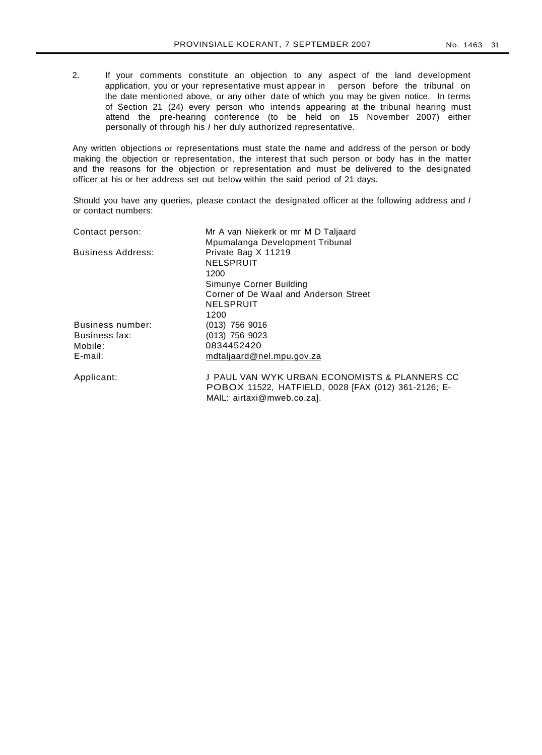2. If your comments constitute an objection to any aspect of the land development application, you or your representative must appear in person before the tribunal on the date mentioned above, or any other date of which you may be given notice. In terms of Section 21 (24) every person who intends appearing at the tribunal hearing must attend the pre-hearing conference (to be held on 15 November 2007) either personally of through his I her duly authorized representative.

Any written objections or representations must state the name and address of the person or body making the objection or representation, the interest that such person or body has in the matter and the reasons for the objection or representation and must be delivered to the designated officer at his or her address set out below within the said period of 21 days.

Should you have any queries, please contact the designated officer at the following address and I or contact numbers:

| Contact person:          | Mr A van Niekerk or mr M D Taljaard                 |
|--------------------------|-----------------------------------------------------|
|                          | Mpumalanga Development Tribunal                     |
| <b>Business Address:</b> | Private Bag X 11219                                 |
|                          | <b>NELSPRUIT</b>                                    |
|                          | 1200                                                |
|                          | Simunye Corner Building                             |
|                          | Corner of De Waal and Anderson Street               |
|                          | NELSPRUIT                                           |
|                          | 1200                                                |
| Business number:         | $(013)$ 756 9016                                    |
| Business fax:            | $(013)$ 756 9023                                    |
| Mobile:                  | 0834452420                                          |
| $E$ -mail:               | mdtaljaard@nel.mpu.gov.za                           |
| Applicant:               | J PAUL VAN WYK URBAN ECONOMISTS & PLANNERS CC       |
|                          | POBOX 11522, HATFIELD, 0028 [FAX (012) 361-2126; E- |

MAIL: airtaxi@mweb.co.za].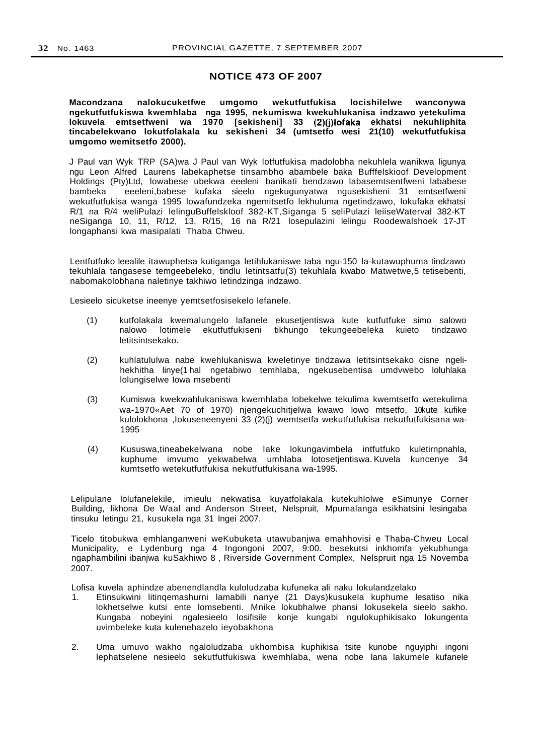# **NOTICE 473 OF 2007**

**Macondzana nalokucuketfwe umgomo wekutfutfukisa locishilelwe wanconywa ngekutfutfukiswa kwemhlaba nga 1995, nekumiswa kwekuhlukanisa indzawo yetekulima lokuvela emtsetfweni wa 1970 [sekisheni] 33 (2)0)Iofaka ekhatsi nekuhliphita tincabelekwano lokutfolakala ku sekisheni 34 (umtsetfo wesi 21(10) wekutfutfukisa umgomo wemitsetfo 2000).**

J Paul van Wyk TRP (SA)wa J Paul van Wyk lotfutfukisa madolobha nekuhlela wanikwa ligunya ngu Leon Alfred Laurens labekaphetse tinsambho abambele baka Bufffelskioof Development Holdings (Pty)Ltd, lowabese ubekwa eeeleni banikati bendzawo labasemtsentfweni lababese bambeka eeeleni,babese kufaka sieelo ngekugunyatwa ngusekisheni 31 emtsetfweni wekutfutfukisa wanga 1995 lowafundzeka ngemitsetfo lekhuluma ngetindzawo, lokufaka ekhatsi R/1 na R/4 weliPulazi lelinguBuffelskloof 382-KT,Siganga 5 seliPulazi leiiseWaterval 382-KT neSiganga 10, 11, R/12, 13, R/15, 16 na R/21 losepulazini lelingu Roodewalshoek 17-JT longaphansi kwa masipalati Thaba Chweu.

Lentfutfuko leealile itawuphetsa kutiganga letihlukaniswe taba ngu-150 la-kutawuphuma tindzawo tekuhlala tangasese temgeebeleko, tindlu letintsatfu(3) tekuhlala kwabo Matwetwe,5 tetisebenti, nabomakolobhana naletinye takhiwo letindzinga indzawo.

Lesieelo sicuketse ineenye yemtsetfosisekelo lefanele.

- (1) kutfolakala kwemalungelo lafanele ekusetjentiswa kute kutfutfuke simo salowo nalowo lotimele ekutfutfukiseni tikhungo tekungeebeleka kuieto tindzawo letitsintsekako.
- (2) kuhlatululwa nabe kwehlukaniswa kweletinye tindzawa letitsintsekako cisne ngelihekhitha linye(1 hal ngetabiwo temhlaba, ngekusebentisa umdvwebo loluhlaka lolungiselwe Iowa msebenti
- (3) Kumiswa kwekwahlukaniswa kwemhlaba lobekelwe tekulima kwemtsetfo wetekulima wa-1970«Aet 70 of 1970) njengekuchitjelwa kwawo lowo mtsetfo, 10kute kufike kulolokhona ,Iokuseneenyeni 33 (2)(j) wemtsetfa wekutfutfukisa nekutfutfukisana wa-1995
- (4) Kususwa,tineabekelwana nobe lake lokungavimbela intfutfuko kuletirnpnahla, kuphume imvumo yekwabelwa umhlaba lotosetjentiswa. Kuvela kuncenye 34 kumtsetfo wetekutfutfukisa nekutfutfukisana wa-1995.

Lelipulane lolufanelekile, imieulu nekwatisa kuyatfolakala kutekuhlolwe eSimunye Corner Building, likhona De Waal and Anderson Street, Nelspruit, Mpumalanga esikhatsini lesingaba tinsuku letingu 21, kusukela nga 31 Ingei 2007.

Ticelo titobukwa emhlanganweni weKubuketa utawubanjwa emahhovisi e Thaba-Chweu Local Municipality, e Lydenburg nga 4 Ingongoni 2007, 9:00. besekutsi inkhomfa yekubhunga ngaphambilini ibanjwa kuSakhiwo 8 , Riverside Government Complex, Nelspruit nga 15 Novemba 2007.

Lofisa kuvela aphindze abenendlandla kuloludzaba kufuneka ali naku lokulandzelako

- 1. Etinsukwini litinqemashurni lamabili nanye (21 Days)kusukela kuphume lesatiso nika lokhetselwe kutsi ente lomsebenti. Mnike lokubhalwe phansi lokusekela sieelo sakho. Kungaba nobeyini ngalesieelo losifisile konje kungabi ngulokuphikisako lokungenta uvimbeleke kuta kulenehazelo ieyobakhona
- 2. Uma umuvo wakho ngaloludzaba ukhombisa kuphikisa tsite kunobe nguyiphi ingoni lephatselene nesieelo sekutfutfukiswa kwemhlaba, wena nobe lana lakumele kufanele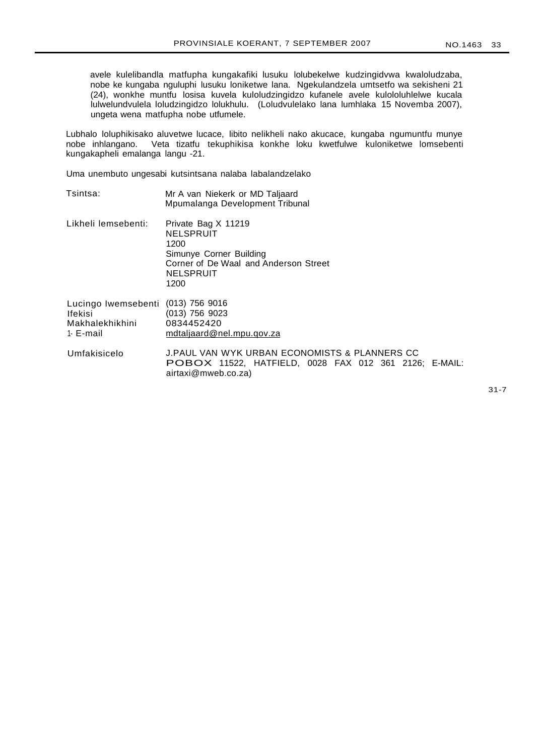avele kulelibandla matfupha kungakafiki lusuku lolubekelwe kudzingidvwa kwaloludzaba, nobe ke kungaba nguluphi lusuku loniketwe lana. Ngekulandzela umtsetfo wa sekisheni 21 (24), wonkhe muntfu losisa kuvela kuloludzingidzo kufanele avele kulololuhlelwe kucala lulwelundvulela loludzingidzo lolukhulu. (Loludvulelako lana lumhlaka 15 Novemba 2007), ungeta wena matfupha nobe utfumele.

Lubhalo loluphikisako aluvetwe lucace, libito nelikheli nako akucace, kungaba ngumuntfu munye<br>nobe inhlangano. Veta tizatfu tekuphikisa konkhe loku kwetfulwe kuloniketwe lomsebenti Veta tizatfu tekuphikisa konkhe loku kwetfulwe kuloniketwe lomsebenti kungakapheli emalanga langu -21.

Uma unembuto ungesabi kutsintsana nalaba labalandzelako

| Tsintsa:                                                       | Mr A van Niekerk or MD Taljaard<br>Mpumalanga Development Tribunal                                                                   |
|----------------------------------------------------------------|--------------------------------------------------------------------------------------------------------------------------------------|
| Likheli lemsebenti:                                            | Private Bag X 11219<br>NELSPRUIT<br>1200<br>Simunye Corner Building<br>Corner of De Waal and Anderson Street<br>NELSPRUIT<br>1200    |
| Lucingo Iwemsebenti<br>lfekisi<br>Makhalekhikhini<br>1- E-mail | $(013)$ 756 9016<br>$(013)$ 756 9023<br>0834452420<br>mdtaljaard@nel.mpu.qov.za                                                      |
| Umfakisicelo                                                   | J.PAUL VAN WYK URBAN ECONOMISTS & PLANNERS CC<br><b>POBOX 11522, HATFIELD, 0028 FAX 012 361 2126; E-MAIL:</b><br>airtaxi@mweb.co.za) |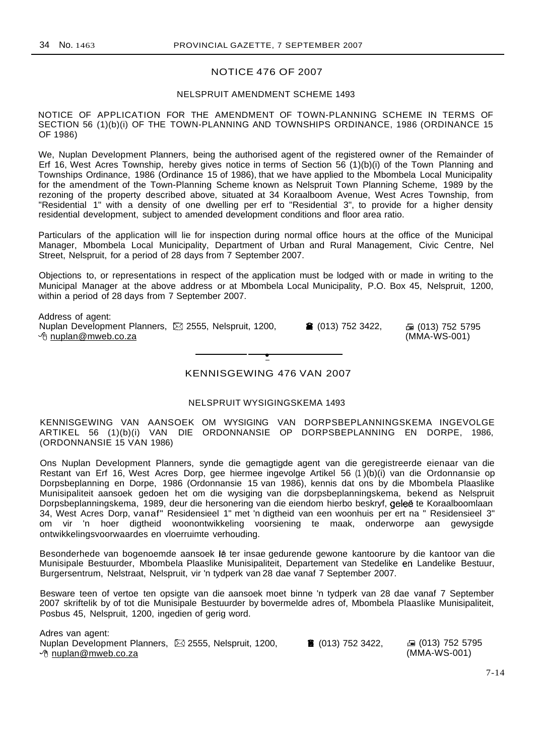# NOTICE 476 OF 2007

#### NELSPRUIT AMENDMENT SCHEME 1493

NOTICE OF APPLICATION FOR THE AMENDMENT OF TOWN-PLANNING SCHEME IN TERMS OF SECTION 56 (1)(b)(i) OF THE TOWN-PLANNING AND TOWNSHIPS ORDINANCE, 1986 (ORDINANCE 15 OF 1986)

We, Nuplan Development Planners, being the authorised agent of the registered owner of the Remainder of Erf 16, West Acres Township, hereby gives notice in terms of Section 56 (1)(b)(i) of the Town Planning and Townships Ordinance, 1986 (Ordinance 15 of 1986), that we have applied to the Mbombela Local Municipality for the amendment of the Town-Planning Scheme known as Nelspruit Town Planning Scheme, 1989 by the rezoning of the property described above, situated at 34 Koraalboom Avenue, West Acres Township, from "Residential 1" with a density of one dwelling per erf to "Residential 3", to provide for a higher density residential development, subject to amended development conditions and floor area ratio.

Particulars of the application will lie for inspection during normal office hours at the office of the Municipal Manager, Mbombela Local Municipality, Department of Urban and Rural Management, Civic Centre, Nel Street, Nelspruit, for a period of 28 days from 7 September 2007.

Objections to, or representations in respect of the application must be lodged with or made in writing to the Municipal Manager at the above address or at Mbombela Local Municipality, P.O. Box 45, Nelspruit, 1200, within a period of 28 days from 7 September 2007.

Address of agent: Nuplan Development Planners, ⊠ 2555, Nelspruit, 1200, 26 (013) 752 3422, a (013) 752 5795  $\Theta$  nuplan@mweb.co.za

(MMA-WS-001)

**•** KENNISGEWING 476 VAN 2007

# NELSPRUIT WYSIGINGSKEMA 1493

KENNISGEWING VAN AANSOEK OM WYSIGING VAN DORPSBEPLANNINGSKEMA INGEVOLGE ARTIKEL 56 (1)(b)(i) VAN DIE ORDONNANSIE OP DORPSBEPLANNING EN DORPE, 1986, (ORDONNANSIE 15 VAN 1986)

Ons Nuplan Development Planners, synde die gemagtigde agent van die geregistreerde eienaar van die Restant van Erf 16, West Acres Dorp, gee hiermee ingevolge Artikel 56 (1 )(b)(i) van die Ordonnansie op Dorpsbeplanning en Dorpe, 1986 (Ordonnansie 15 van 1986), kennis dat ons by die Mbombela Plaaslike Munisipaliteit aansoek gedoen het om die wysiging van die dorpsbeplanningskema, bekend as Nelspruit Dorpsbeplanningskema, 1989, deur die hersonering van die eiendom hierbo beskryf, gelee te Koraalboomlaan 34, West Acres Dorp, vanaf" Residensieel 1" met 'n digtheid van een woonhuis per ert na " Residensieel 3" om vir 'n hoer digtheid woonontwikkeling voorsiening te maak, onderworpe aan gewysigde ontwikkelingsvoorwaardes en vloerruimte verhouding.

Besonderhede van bogenoemde aansoek lê ter insae gedurende gewone kantoorure by die kantoor van die Munisipale Bestuurder, Mbombela Plaaslike Munisipaliteit, Departement van Stedelike en Landelike Bestuur, Burgersentrum, Nelstraat, Nelspruit, vir 'n tydperk van 28 dae vanaf 7 September 2007.

Besware teen of vertoe ten opsigte van die aansoek moet binne 'n tydperk van 28 dae vanaf 7 September 2007 skriftelik by of tot die Munisipale Bestuurder by bovermelde adres of, Mbombela Plaaslike Munisipaliteit, Posbus 45, Nelspruit, 1200, ingedien of gerig word.

Adres van agent: Nuplan Development Planners, ⊠ 2555, Nelspruit, 1200, (013) 752 3422, a da (013) 752 5795  $\Theta$  nuplan@mweb.co.za

(MMA-WS-001)

7-14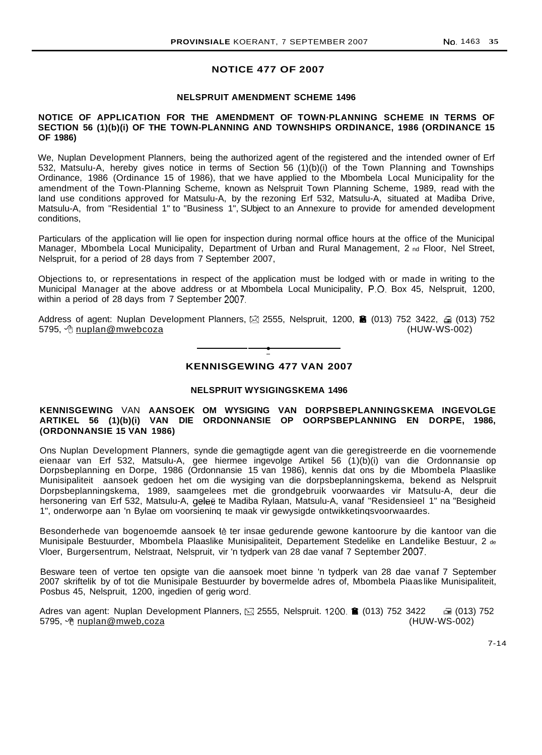# **NOTICE 477 OF 2007**

### **NELSPRUIT AMENDMENT SCHEME 1496**

#### **NOTICE OF APPLICATION FOR THE AMENDMENT OF TOWN·PLANNING SCHEME IN TERMS OF SECTION 56 (1)(b)(i) OF THE TOWN-PLANNING AND TOWNSHIPS ORDINANCE, 1986 (ORDINANCE 15 OF 1986)**

We, Nuplan Development Planners, being the authorized agent of the registered and the intended owner of Erf 532, Matsulu-A, hereby gives notice in terms of Section 56 (1)(b)(i) of the Town Planning and Townships Ordinance, 1986 (Ordinance 15 of 1986), that we have applied to the Mbombela Local Municipality for the amendment of the Town-Planning Scheme, known as Nelspruit Town Planning Scheme, 1989, read with the land use conditions approved for Matsulu-A, by the rezoning Erf 532, Matsulu-A, situated at Madiba Drive, Matsulu-A, from "Residential 1" to "Business 1", SUbject to an Annexure to provide for amended development conditions,

Particulars of the application will lie open for inspection during normal office hours at the office of the Municipal Manager, Mbombela Local Municipality, Department of Urban and Rural Management, 2 nd Floor, Nel Street, Nelspruit, for a period of 28 days from 7 September 2007,

Objections to, or representations in respect of the application must be lodged with or made in writing to the Municipal Manager at the above address or at Mbombela Local Municipality, P.O. Box 45, Nelspruit, 1200, within a period of 28 days from 7 September 2007,

Address of agent: Nuplan Development Planners,  $\boxtimes$  2555, Nelspruit, 1200, a (013) 752 3422,  $\oplus$  (013) 752 5795,  $\sqrt{t}$  nuplan@mwebcoza (HUW-WS-002)

**•**

# **KENNISGEWING 477 VAN 2007**

#### **NELSPRUIT WYSIGINGSKEMA 1496**

# **KENNISGEWING** VAN **AANSOEK OM WYSIGING VAN DORPSBEPLANNINGSKEMA INGEVOLGE ARTIKEL 56 (1)(b)(i) VAN DIE ORDONNANSIE OP OORPSBEPLANNING EN DORPE, 1986, (ORDONNANSIE 15 VAN 1986)**

Ons Nuplan Development Planners, synde die gemagtigde agent van die geregistreerde en die voornemende eienaar van Erf 532, Matsulu-A, gee hiermee ingevolge Artikel 56 (1)(b)(i) van die Ordonnansie op Dorpsbeplanning en Dorpe, 1986 (Ordonnansie 15 van 1986), kennis dat ons by die Mbombela Plaaslike Munisipaliteit aansoek gedoen het om die wysiging van die dorpsbeplanningskema, bekend as Nelspruit Dorpsbeplanningskema, 1989, saamgelees met die grondgebruik voorwaardes vir Matsulu-A, deur die hersonering van Erf 532, Matsulu-A, geleë te Madiba Rylaan, Matsulu-A, vanaf "Residensieel 1" na "Besigheid 1", onderworpe aan 'n Bylae om voorsieninq te maak vir gewysigde ontwikketinqsvoorwaardes.

Besonderhede van bogenoemde aansoek lê ter insae gedurende gewone kantoorure by die kantoor van die Munisipale Bestuurder, Mbombela Plaaslike Munisipaliteit, Departement Stedelike en Landelike Bestuur, 2 de Vloer, Burgersentrum, Nelstraat, Nelspruit, vir 'n tydperk van 28 dae vanaf 7 September 2007,

Besware teen of vertoe ten opsigte van die aansoek moet binne 'n tydperk van 28 dae vanaf 7 September 2007 skriftelik by of tot die Munisipale Bestuurder by bovermelde adres of, Mbombela Piaaslike Munisipaliteit, Posbus 45, Nelspruit, 1200, ingedien of gerig word,

Adres van agent: Nuplan Development Planners, ⊠ 2555, Nelspruit. 1200. **6 (013) 752 3422** ga (013) 752 3422 ga (<br>5795, √thuw-WS-002) 6795, √thuw-WS-002 5795, <sup>o</sup>t nuplan@mweb,coza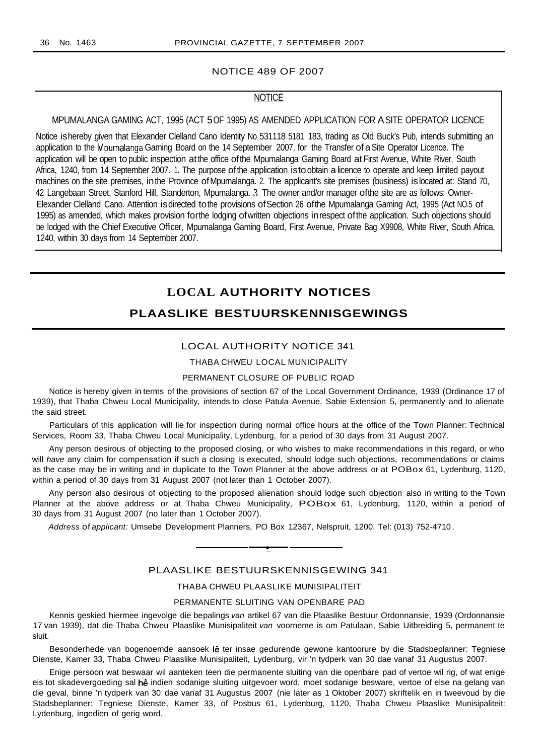#### NOTICE 489 OF 2007

# **NOTICE**

#### MPUMALANGA GAMING ACT, 1995 (ACT 5OF 1995) AS AMENDED APPLICATION FOR ASITE OPERATOR LICENCE

Notice ishereby given that Elexander Clelland Cano Identity No 531118 5181 183, trading as Old Buck's Pub, intends submitting an application to the Mpumalanga Gaming Board on the 14 September 2007, for the Transfer of a Site Operator Licence. The application will be open to public inspection at the office of the Mpumalanga Gaming Board at First Avenue, White River, South Africa, 1240, from 14 September 2007. 1. The purpose ofthe application istoobtain a licence to operate and keep limited payout machines on the site premises, inthe Province ofMpumalanga. 2. The applicant's site premises (business) islocated at: Stand 70, 42 Langebaan Street, Stanford Hill, Standerton, Mpumalanga. 3. The owner and/or manager ofthe site are as follows: Owner-Elexander Clelland Cano. Attention isdirected tothe provisions ofSection 26 ofthe Mpumalanga Gaming Act, 1995 (Act NO.5 of 1995) as amended, which makes provision forthe lodging ofwritten objections inrespect ofthe application. Such objections should be lodged with the Chief Executive Officer, Mpumalanga Gaming Board, First Avenue, Private Bag X9908, White River, South Africa, 1240, within 30 days from 14 September 2007.

# **LOCAL AUTHORITY NOTICES**

# **PLAASLIKE BESTUURSKENNISGEWINGS**

# LOCAL AUTHORITY NOTICE 341

#### THABA CHWEU LOCAL MUNICIPALITY

#### PERMANENT CLOSURE OF PUBLIC ROAD

Notice is hereby given in terms of the provisions of section 67 of the Local Government Ordinance, 1939 (Ordinance 17 of 1939), that Thaba Chweu Local Municipality, intends to close Patula Avenue, Sabie Extension 5, permanently and to alienate the said street.

Particulars of this application will lie for inspection during normal office hours at the office of the Town Planner: Technical Services, Room 33, Thaba Chweu Local Municipality, Lydenburg, for a period of 30 days from 31 August 2007.

Any person desirous of objecting to the proposed closing, or who wishes to make recommendations in this regard, or who will have any claim for compensation if such a closing is executed, should lodge such objections, recommendations or claims as the case may be in writing and in duplicate to the Town Planner at the above address or at POBox 61, Lydenburg, 1120, within a period of 30 days from 31 August 2007 (not later than 1 October 2007).

Any person also desirous of objecting to the proposed alienation should lodge such objection also in writing to the Town Planner at the above address or at Thaba Chweu Municipality, POBox 61, Lydenburg, 1120, within a period of 30 days from 31 August 2007 (no later than 1 October 2007).

Address of applicant: Umsebe Development Planners, PO Box 12367, Nelspruit, 1200. Tel: (013) 752-4710 .

# PLAASLIKE BESTUURSKENNISGEWING 341

**•**

# THABA CHWEU PLAASLIKE MUNISIPALITEIT

#### PERMANENTE SLUITING VAN OPENBARE PAD

Kennis geskied hiermee ingevolge die bepalings van artikel 67 van die Plaaslike Bestuur Ordonnansie, 1939 (Ordonnansie 17 van 1939), dat die Thaba Chweu Plaaslike Munisipaliteit van voorneme is om Patulaan, Sabie Uitbreiding 5, permanent te sluit.

Besonderhede van bogenoemde aansoek lê ter insae gedurende gewone kantoorure by die Stadsbeplanner: Tegniese Dienste, Kamer 33, Thaba Chweu Plaaslike Munisipaliteit, Lydenburg, vir 'n tydperk van 30 dae vanaf 31 Augustus 2007.

Enige persoon wat beswaar wil aanteken teen die permanente sluiting van die openbare pad of vertoe wil rig, of wat enige eis tot skadevergoeding sal hê indien sodanige sluiting uitgevoer word, moet sodanige besware, vertoe of else na gelang van die geval, binne 'n tydperk van 30 dae vanaf 31 Augustus 2007 (nie later as 1 Oktober 2007) skriftelik en in tweevoud by die Stadsbeplanner: Tegniese Dienste, Kamer 33, of Posbus 61, Lydenburg, 1120, Thaba Chweu Plaaslike Munisipaliteit: Lydenburg, ingedien of gerig word.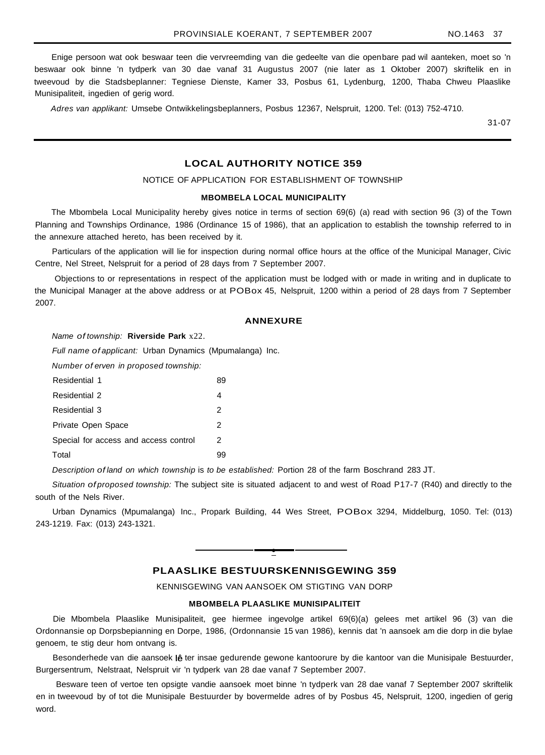Enige persoon wat ook beswaar teen die vervreemding van die gedeelte van die openbare pad wil aanteken, moet so 'n beswaar ook binne 'n tydperk van 30 dae vanaf 31 Augustus 2007 (nie later as 1 Oktober 2007) skriftelik en in tweevoud by die Stadsbeplanner: Tegniese Dienste, Kamer 33, Posbus 61, Lydenburg, 1200, Thaba Chweu Plaaslike Munisipaliteit, ingedien of gerig word.

Adres van applikant: Umsebe Ontwikkelingsbeplanners, Posbus 12367, Nelspruit, 1200. Tel: (013) 752-4710.

31-07

# **LOCAL AUTHORITY NOTICE 359**

# NOTICE OF APPLICATION FOR ESTABLISHMENT OF TOWNSHIP

# **MBOMBELA LOCAL MUNICIPALITY**

The Mbombela Local Municipality hereby gives notice in terms of section 69(6) (a) read with section 96 (3) of the Town Planning and Townships Ordinance, 1986 (Ordinance 15 of 1986), that an application to establish the township referred to in the annexure attached hereto, has been received by it.

Particulars of the application will lie for inspection during normal office hours at the office of the Municipal Manager, Civic Centre, Nel Street, Nelspruit for a period of 28 days from 7 September 2007.

Objections to or representations in respect of the application must be lodged with or made in writing and in duplicate to the Municipal Manager at the above address or at POBox 45, Nelspruit, 1200 within a period of 28 days from 7 September 2007.

#### **ANNEXURE**

Name of township: **Riverside Park** x22.

Full name of applicant: Urban Dynamics (Mpumalanga) Inc.

Number of erven in proposed township:

| Residential 1                         | 89 |
|---------------------------------------|----|
| Residential 2                         |    |
| <b>Residential 3</b>                  | 2  |
| Private Open Space                    | 2  |
| Special for access and access control | 2  |
| Total                                 |    |

Description of land on which township is to be established: Portion 28 of the farm Boschrand 283 JT.

Situation of proposed township: The subject site is situated adjacent to and west of Road P17-7 (R40) and directly to the south of the Nels River.

Urban Dynamics (Mpumalanga) Inc., Propark Building, 44 Wes Street, POBox 3294, Middelburg, 1050. Tel: (013) 243-1219. Fax: (013) 243-1321.

# **PLAASLIKE BESTUURSKENNISGEWING 359**

**•**

KENNISGEWING VAN AANSOEK OM STIGTING VAN DORP

#### **MBOMBELA PLAASLIKE MUNISIPALITElT**

Die Mbombela Plaaslike Munisipaliteit, gee hiermee ingevolge artikel 69(6)(a) gelees met artikel 96 (3) van die Ordonnansie op Dorpsbepianning en Dorpe, 1986, (Ordonnansie 15 van 1986), kennis dat 'n aansoek am die dorp in die bylae genoem, te stig deur hom ontvang is.

Besonderhede van die aansoek lê ter insae gedurende gewone kantoorure by die kantoor van die Munisipale Bestuurder, Burgersentrum, Nelstraat, Nelspruit vir 'n tydperk van 28 dae vanaf 7 September 2007.

Besware teen of vertoe ten opsigte vandie aansoek moet binne 'n tydperk van 28 dae vanaf 7 September 2007 skriftelik en in tweevoud by of tot die Munisipale Bestuurder by bovermelde adres of by Posbus 45, Nelspruit, 1200, ingedien of gerig word.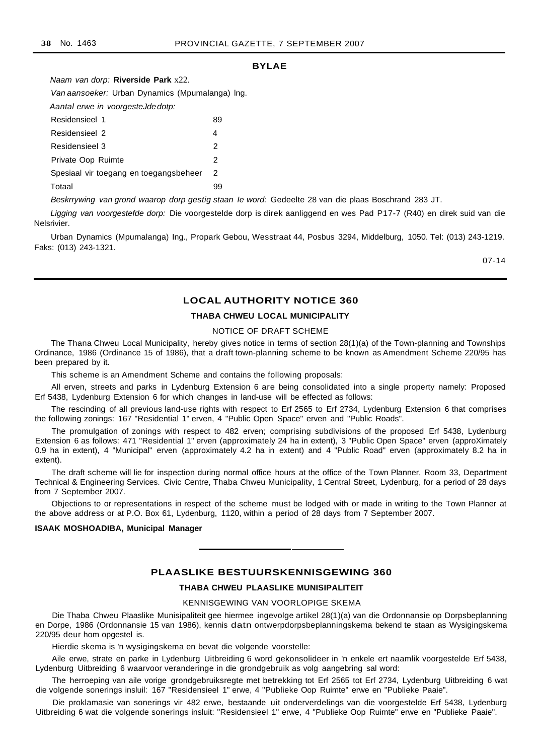# **BYLAE**

Naam van dorp: **Riverside Park** x22. Van aansoeker: Urban Dynamics (Mpumalanga) lng. Aantal erwe in voorgesteJdedotp: Residensieel 1 89 Residensieel 2 4 Residensieel 3 2 Private Oop Ruimte 2 Spesiaal vir toegang en toegangsbeheer 2 Totaal 99

Beskrrywing van grond waarop dorp gestig staan Ie word: Gedeelte 28 van die plaas Boschrand 283 JT.

Ligging van voorgestefde dorp: Die voorgestelde dorp is direk aanliggend en wes Pad P17-7 (R40) en direk suid van die Nelsrivier.

Urban Dynamics (Mpumalanga) Ing., Propark Gebou, Wesstraat 44, Posbus 3294, Middelburg, 1050. Tel: (013) 243-1219. Faks: (013) 243-1321.

07-14

# **LOCAL AUTHORITY NOTICE 360**

# **THABA CHWEU LOCAL MUNICIPALITY**

#### NOTICE OF DRAFT SCHEME

The Thana Chweu Local Municipality, hereby gives notice in terms of section 28(1)(a) of the Town-planning and Townships Ordinance, 1986 (Ordinance 15 of 1986), that a draft town-planning scheme to be known as Amendment Scheme 220/95 has been prepared by it.

This scheme is an Amendment Scheme and contains the following proposals:

All erven, streets and parks in Lydenburg Extension 6 are being consolidated into a single property namely: Proposed Erf 5438, Lydenburg Extension 6 for which changes in land-use will be effected as follows:

The rescinding of all previous land-use rights with respect to Erf 2565 to Erf 2734, Lydenburg Extension 6 that comprises the following zonings: 167 "Residential 1" erven, 4 "Public Open Space" erven and "Public Roads".

The promulgation of zonings with respect to 482 erven; comprising subdivisions of the proposed Erf 5438, Lydenburg Extension 6 as follows: 471 "Residential 1" erven (approximately 24 ha in extent), 3 "Public Open Space" erven (approXimately 0.9 ha in extent), 4 "Municipal" erven (approximately 4.2 ha in extent) and 4 "Public Road" erven (approximately 8.2 ha in extent).

The draft scheme will lie for inspection during normal office hours at the office of the Town Planner, Room 33, Department Technical & Engineering Services. Civic Centre, Thaba Chweu Municipality, 1 Central Street, Lydenburg, for a period of 28 days from 7 September 2007.

Objections to or representations in respect of the scheme must be lodged with or made in writing to the Town Planner at the above address or at P.O. Box 61, Lydenburg, 1120, within a period of 28 days from 7 September 2007.

#### **ISAAK MOSHOADIBA, Municipal Manager**

# **PLAASLIKE BESTUURSKENNISGEWING 360**

#### **THABA CHWEU PLAASLIKE MUNISIPALITEIT**

#### KENNISGEWING VAN VOORLOPIGE SKEMA

Die Thaba Chweu Plaaslike Munisipaliteit gee hiermee ingevolge artikel 28(1)(a) van die Ordonnansie op Dorpsbeplanning en Dorpe, 1986 (Ordonnansie 15 van 1986), kennis datn ontwerpdorpsbeplanningskema bekend te staan as Wysigingskema 220/95 deur hom opgestel is.

Hierdie skema is 'n wysigingskema en bevat die volgende voorstelle:

Aile erwe, strate en parke in Lydenburg Uitbreiding 6 word gekonsolideer in 'n enkele ert naamlik voorgestelde Erf 5438, Lydenburg Uitbreiding 6 waarvoor veranderinge in die grondgebruik as volg aangebring sal word:

The herroeping van aile vorige grondgebruiksregte met betrekking tot Erf 2565 tot Erf 2734, Lydenburg Uitbreiding 6 wat die volgende sonerings insluil: 167 "Residensieel 1" erwe, 4 "Publieke Oop Ruimte" erwe en "Publieke Paaie".

Die proklamasie van sonerings vir 482 erwe, bestaande uit onderverdelings van die voorgestelde Erf 5438, Lydenburg Uitbreiding 6 wat die volgende sonerings insluit: "Residensieel 1" erwe, 4 "Publieke Oop Ruimte" erwe en "Publieke Paaie".